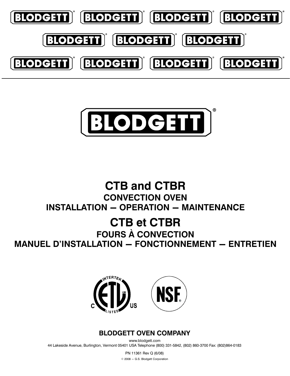



## **CTB and CTBR CONVECTION OVEN INSTALLATION - OPERATION - MAINTENANCE**

## **CTB et CTBR FOURS À CONVECTION MANUEL D'INSTALLATION - FONCTIONNEMENT - ENTRETIEN**



## **BLODGETT OVEN COMPANY**

www.blodgett.com 44 Lakeside Avenue, Burlington, Vermont 05401 USA Telephone (800) 331-5842, (802) 860-3700 Fax: (802) 864-0183

> PN 11361 Rev Q (6/08) © 2008 - G.S. Blodgett Corporation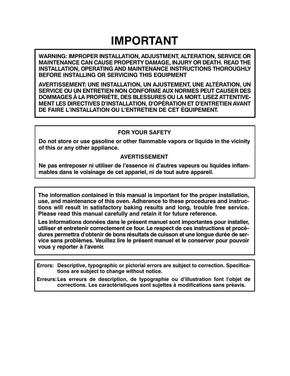## **IMPORTANT**

WARNING: IMPROPER INSTALLATION, ADJUSTMENT, ALTERATION, SERVICE OR MAINTENANCE CAN CAUSE PROPERTY DAMAGE, INJURY OR DEATH. READ THE **INSTALLATION, OPERATING AND MAINTENANCE INSTRUCTIONS THOROUGHLY** BEFORE INSTALLING OR SERVICING THIS EQUIPMENT

AVERTISSEMENT: UNE INSTALLATION, UN AJUSTEMENT, UNE ALTÉRATION, UN SERVICE OU UN ENTRETIEN NON CONFORME AUX NORMES PEUT CAUSER DES DOMMAGES À LA PROPRIÉTE, DES BLESSURES OU LA MORT. LISEZ ATTENTIVE-**MENT LES DIRECTIVES D'INSTALLATION, D'OPÉRATION ET D'ENTRETIEN AVANT** DE FAIRE L'INSTALLATION OU L'ENTRETIEN DE CET ÉQUIPEMENT.

### **FOR YOUR SAFETY**

Do not store or use gasoline or other flammable vapors or liquids in the vicinity of this or any other appliance.

### **AVERTISSEMENT**

Ne pas entreposer ni utiliser de l'essence ni d'autres vapeurs ou liquides inflammables dans le voisinage de cet appariel, ni de tout autre appareil.

The information contained in this manual is important for the proper installation, use, and maintenance of this oven. Adherence to these procedures and instructions will result in satisfactory baking results and long, trouble free service. Please read this manual carefully and retain it for future reference.

Les informations données dans le présent manuel sont importantes pour installer, utiliser et entretenir correctement ce four. Le respect de ces instructions et procédures permettra d'obtenir de bons résultats de cuisson et une longue durée de service sans problèmes. Veuillez lire le présent manuel et le conserver pour pouvoir vous y reporter à l'avenir.

Errors: Descriptive, typographic or pictorial errors are subject to correction. Specifications are subject to change without notice.

Erreurs: Les erreurs de description, de typographie ou d'illustration font l'objet de corrections. Les caractéristiques sont sujettes à modifications sans préavis.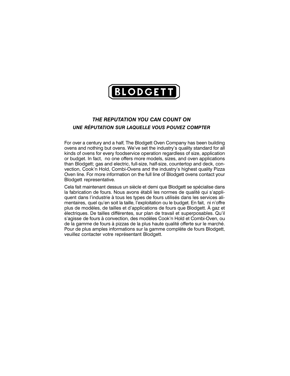

#### THE REPUTATION YOU CAN COUNT ON UNE RÉPUTATION SUR LAQUELLE VOUS POUVEZ COMPTER

For over a century and a half, The Blodgett Oven Company has been building ovens and nothing but ovens. We've set the industry's quality standard for all kinds of ovens for every foodservice operation regardless of size, application or budget. In fact, no one offers more models, sizes, and oven applications than Blodgett; gas and electric, full-size, half-size, countertop and deck, convection, Cook'n Hold, Combi-Ovens and the industry's highest quality Pizza Oven line. For more information on the full line of Blodgett ovens contact your Blodgett representative.

Cela fait maintenant dessus un siècle et demi que Blodgett se spécialise dans la fabrication de fours. Nous avons établi les normes de qualité qui s'appliquent dans l'industrie à tous les types de fours utilisés dans les services alimentaires, quel qu'en soit la taille, l'exploitation ou le budget. En fait, ni n'offre plus de modèles, de tailles et d'applications de fours que Blodgett. À gaz et électriques. De tailles différentes, sur plan de travail et superposables. Qu'il s'agisse de fours à convection, des modèles Cook'n Hold et Combi-Oven, ou de la gamme de fours à pizzas de la plus haute qualité offerte sur le marché. Pour de plus amples informations sur la gamme complète de fours Blodgett, veuillez contacter votre représentant Blodgett.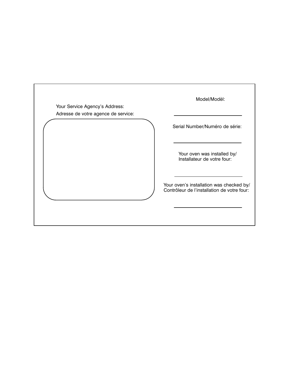| Your Service Agency's Address:<br>Adresse de votre agence de service: | Model/Modèl:                                                                            |
|-----------------------------------------------------------------------|-----------------------------------------------------------------------------------------|
|                                                                       | Serial Number/Numéro de série:                                                          |
|                                                                       | Your oven was installed by/<br>Installateur de votre four:                              |
|                                                                       | Your oven's installation was checked by/<br>Contrôleur de l'installation de votre four: |
|                                                                       |                                                                                         |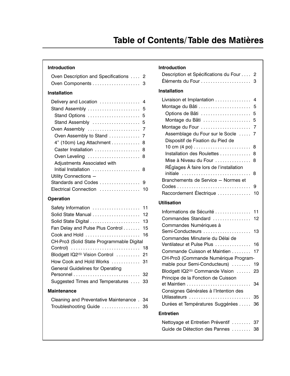### Introduction

| Oven Description and Specifications  2 |    |
|----------------------------------------|----|
| Oven Components 3                      |    |
| <b>Installation</b>                    |    |
| Delivery and Location  4               |    |
| Stand Assembly  5                      |    |
| Stand Options  5                       |    |
| Stand Assembly  5                      |    |
|                                        |    |
|                                        |    |
| 4" (10cm) Leg Attachment  8            |    |
| Caster Installation  8                 |    |
| Oven Leveling  8                       |    |
| Adjustments Associated with            |    |
| Initial Installation  8                |    |
| Utility Connections -                  |    |
|                                        |    |
| Electrical Connection                  | 10 |

### Operation

| Solid State Manual  12                       |    |
|----------------------------------------------|----|
|                                              |    |
| Fan Delay and Pulse Plus Control  15         |    |
|                                              |    |
| CH-Pro3 (Solid State Programmable Digital    |    |
|                                              |    |
| Blodgett IQ2 <sup>®</sup> Vision Control  21 |    |
| How Cook and Hold Works  31                  |    |
| <b>General Guidelines for Operating</b>      |    |
|                                              |    |
| Suggested Times and Temperatures             | 33 |
|                                              |    |

#### **Maintenance**

| Cleaning and Preventative Maintenance. 34 |     |
|-------------------------------------------|-----|
| Troubleshooting Guide                     | -35 |

#### **Introduction**

| Description et Spécifications du Four  2                                                                                                                                                                                                                                                                        |                                                     |
|-----------------------------------------------------------------------------------------------------------------------------------------------------------------------------------------------------------------------------------------------------------------------------------------------------------------|-----------------------------------------------------|
| <b>Installation</b>                                                                                                                                                                                                                                                                                             |                                                     |
| Livraison et Implantation<br>Options de Bâti<br>Montage du Bâti<br>Montage du Four<br>Assemblage du Four sur le Socle<br>Dispositif de Fixation du Pied de<br>Installation des Roulettes<br>Mise à Niveau du Four<br>RÉglages À faire lors de l'installation<br>initiale<br>Branchements de Service - Normes et | 4<br>5<br>5<br>5<br>7<br>7<br>8<br>8<br>8<br>8<br>9 |
| Raccordement Électrique<br><b>Utilisation</b>                                                                                                                                                                                                                                                                   | 10                                                  |
| Informations de Sécurité<br>Commandes Standard                                                                                                                                                                                                                                                                  | 11<br>12                                            |
| Commandes Numériques à<br>Semi-Conducteurs<br>Commandes Minuterie du Délai de                                                                                                                                                                                                                                   | 13                                                  |
| Ventilateur et Pulse Plus<br>Commande Cuisson et Maintien<br>CH-Pro3 (Commande Numérique Program-                                                                                                                                                                                                               | 16<br>17                                            |
| mable pour Semi-Conducteurs)<br>Blodgett IQ2 <sup>®</sup> Commande Vision<br>Principe de la Fonction de Cuisson                                                                                                                                                                                                 | 19<br>23                                            |
| et Maintien<br>Consignes Générales à l'Intention des<br>Utilasateurs                                                                                                                                                                                                                                            | 34<br>35                                            |
| Durées et Températures Suggérées  36                                                                                                                                                                                                                                                                            |                                                     |
| <b>Entretien</b>                                                                                                                                                                                                                                                                                                |                                                     |
| Nettoyage et Entretien Préventif  37<br>Guide de Détection des Pannes  38                                                                                                                                                                                                                                       |                                                     |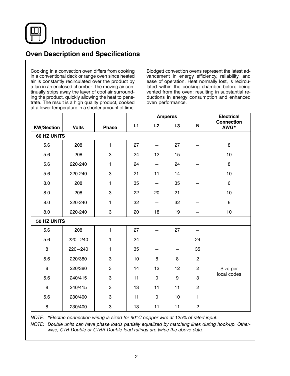**Introduction** 

### **Oven Description and Specifications**

Cooking in a convection oven differs from cooking in a conventional deck or range oven since heated air is constantly recirculated over the product by a fan in an enclosed chamber. The moving air continually strips away the layer of cool air surrounding the product, quickly allowing the heat to penetrate. The result is a high quality product, cooked at a lower temperature in a shorter amount of time.

Blodgett convection ovens represent the latest advancement in energy efficiency, reliability, and ease of operation. Heat normally lost, is recirculated within the cooking chamber before being vented from the oven: resulting in substantial reductions in energy consumption and enhanced oven performance.

|                   | <b>Amperes</b> |              |    |                          | <b>Electrical</b> |                |                           |  |
|-------------------|----------------|--------------|----|--------------------------|-------------------|----------------|---------------------------|--|
| <b>KW/Section</b> | <b>Volts</b>   | <b>Phase</b> | L1 | L2                       | L3                | N              | <b>Connection</b><br>AWG* |  |
| 60 HZ UNITS       |                |              |    |                          |                   |                |                           |  |
| 5.6               | 208            | $\mathbf{1}$ | 27 |                          | 27                |                | 8                         |  |
| 5.6               | 208            | 3            | 24 | 12                       | 15                |                | 10                        |  |
| 5.6               | 220-240        | $\mathbf{1}$ | 24 | $\overline{\phantom{0}}$ | 24                |                | 8                         |  |
| 5.6               | 220-240        | 3            | 21 | 11                       | 14                |                | 10                        |  |
| 8.0               | 208            | 1            | 35 |                          | 35                |                | 6                         |  |
| 8.0               | 208            | 3            | 22 | 20                       | 21                |                | 10                        |  |
| 8.0               | 220-240        | 1            | 32 | $\overline{\phantom{0}}$ | 32                |                | $\,6\,$                   |  |
| 8.0               | 220-240        | 3            | 20 | 18                       | 19                |                | 10                        |  |
|                   | 50 HZ UNITS    |              |    |                          |                   |                |                           |  |
| 5.6               | 208            | $\mathbf{1}$ | 27 |                          | 27                |                |                           |  |
| 5.6               | $220 - 240$    | 1            | 24 |                          |                   | 24             |                           |  |
| 8                 | $220 - 240$    | 1            | 35 |                          |                   | 35             |                           |  |
| 5.6               | 220/380        | 3            | 10 | 8                        | 8                 | $\overline{2}$ |                           |  |
| 8                 | 220/380        | 3            | 14 | 12                       | 12                | $\overline{2}$ | Size per                  |  |
| 5.6               | 240/415        | 3            | 11 | $\mathbf 0$              | 9                 | 3              | local codes               |  |
| 8                 | 240/415        | 3            | 13 | 11                       | 11                | $\overline{c}$ |                           |  |
| 5.6               | 230/400        | 3            | 11 | $\mathbf 0$              | 10                | 1              |                           |  |
| 8                 | 230/400        | 3            | 13 | 11                       | 11                | $\overline{c}$ |                           |  |

NOTE: \*Electric connection wiring is sized for 90°C copper wire at 125% of rated input.

NOTE: Double units can have phase loads partially equalized by matching lines during hook-up. Otherwise, CTB-Double or CTBR-Double load ratings are twice the above data.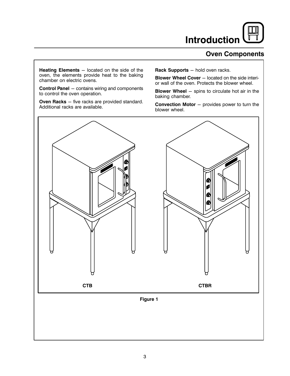## **Introduction**

### **Oven Components**

**Heating Elements** – located on the side of the oven, the elements provide heat to the baking chamber on electric ovens.

**Control Panel** - contains wiring and components to control the oven operation.

Oven Racks - five racks are provided standard. Additional racks are available.

Rack Supports - hold oven racks.

Blower Wheel Cover - located on the side interior wall of the oven. Protects the blower wheel.

**Blower Wheel** - spins to circulate hot air in the baking chamber.

**Convection Motor** - provides power to turn the blower wheel.

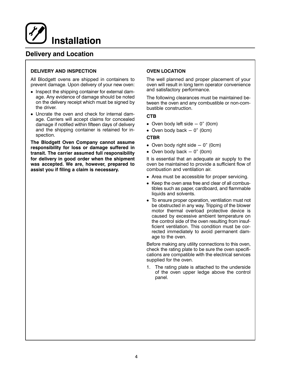

### **Delivery and Location**

#### **DELIVERY AND INSPECTION**

All Blodgett ovens are shipped in containers to prevent damage. Upon delivery of your new oven:

- Inspect the shipping container for external damage. Any evidence of damage should be noted on the delivery receipt which must be signed by the driver.
- Uncrate the oven and check for internal damage. Carriers will accept claims for concealed damage if notified within fifteen days of delivery and the shipping container is retained for inspection.

The Blodgett Oven Company cannot assume responsibility for loss or damage suffered in transit. The carrier assumed full responsibility for delivery in good order when the shipment was accepted. We are, however, prepared to assist you if filing a claim is necessary.

#### **OVEN LOCATION**

The well planned and proper placement of your oven will result in long term operator convenience and satisfactory performance.

The following clearances must be maintained between the oven and any combustible or non-combustible construction.

#### **CTB**

- Oven body left side  $-0$ " (0cm)
- Oven body back  $-0$ " (0cm)

#### **CTBR**

- Oven body right side  $-0$ " (0cm)
- Oven body back  $-0$ " (0cm)

It is essential that an adequate air supply to the oven be maintained to provide a sufficient flow of combustion and ventilation air.

- Area must be accessible for proper servicing.
- Keep the oven area free and clear of all combustibles such as paper, cardboard, and flammable liquids and solvents.
- To ensure proper operation, ventilation must not be obstructed in any way. Tripping of the blower motor thermal overload protective device is caused by excessive ambient temperature on the control side of the oven resulting from insufficient ventilation. This condition must be corrected immediately to avoid permanent damage to the oven.

Before making any utility connections to this oven, check the rating plate to be sure the oven specifications are compatible with the electrical services supplied for the oven.

1. The rating plate is attached to the underside of the oven upper ledge above the control panel.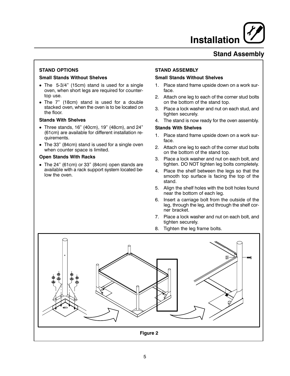## **Installation**

### **Stand Assembly**

#### **STAND OPTIONS**

#### **Small Stands Without Shelves**

- The 5-3/4" (15cm) stand is used for a single oven, when short legs are required for countertop use.
- The 7" (18cm) stand is used for a double stacked oven, when the oven is to be located on the floor.

#### **Stands With Shelves**

- Three stands, 16" (40cm), 19" (48cm), and 24" (61cm) are available for different installation requirements.
- The 33" (84cm) stand is used for a single oven when counter space is limited.

#### **Open Stands With Racks**

• The 24" (61cm) or 33" (84cm) open stands are available with a rack support system located below the oven.

#### **STAND ASSEMBLY**

#### **Small Stands Without Shelves**

- $1<sup>1</sup>$ Place stand frame upside down on a work surface.
- 2. Attach one leg to each of the corner stud bolts on the bottom of the stand top.
- 3. Place a lock washer and nut on each stud, and tighten securely.
- 4. The stand is now ready for the oven assembly.

#### **Stands With Shelves**

- Place stand frame upside down on a work sur- $1 \quad$ face.
- 2. Attach one leg to each of the corner stud bolts on the bottom of the stand top.
- 3. Place a lock washer and nut on each bolt, and tighten. DO NOT tighten leg bolts completely.
- 4. Place the shelf between the legs so that the smooth top surface is facing the top of the stand.
- 5. Align the shelf holes with the bolt holes found near the bottom of each leg.
- 6. Insert a carriage bolt from the outside of the leg, through the leg, and through the shelf corner bracket.
- 7. Place a lock washer and nut on each bolt, and tighten securely.
- 8. Tighten the leg frame bolts.

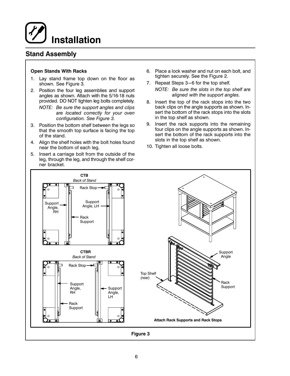## **Installation**

### **Stand Assembly**

#### **Open Stands With Racks**

- Lay stand frame top down on the floor as  $1.$ shown. See Figure 3.
- 2. Position the four leg assemblies and support angles as shown. Attach with the 5/16-18 nuts provided. DO NOT tighten leg bolts completely.

NOTE: Be sure the support angles and clips are located correctly for your oven configuration. See Figure 3.

- 3. Position the bottom shelf between the legs so that the smooth top surface is facing the top of the stand.
- 4. Align the shelf holes with the bolt holes found near the bottom of each leg.
- 5. Insert a carriage bolt from the outside of the leg, through the leg, and through the shelf corner bracket.
- 6. Place a lock washer and nut on each bolt, and tighten securely. See the Figure 2.
- 7. Repeat Steps 3-6 for the top shelf.

NOTE: Be sure the slots in the top shelf are aligned with the support angles.

- 8. Insert the top of the rack stops into the two back clips on the angle supports as shown. Insert the bottom of the rack stops into the slots in the top shelf as shown.
- 9. Insert the rack supports into the remaining four clips on the angle supports as shown. Insert the bottom of the rack supports into the slots in the top shelf as shown.
- 10. Tighten all loose bolts.

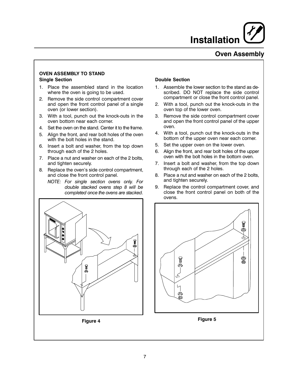

### **Oven Assembly**

#### **OVEN ASSEMBLY TO STAND Single Section**

- 1. Place the assembled stand in the location where the oven is going to be used.
- Remove the side control compartment cover  $2.$ and open the front control panel of a single oven (or lower section).
- 3. With a tool, punch out the knock-outs in the oven bottom near each corner.
- 4. Set the oven on the stand. Center it to the frame.
- 5. Align the front, and rear bolt holes of the oven with the bolt holes in the stand.
- 6. Insert a bolt and washer, from the top down through each of the 2 holes.
- 7. Place a nut and washer on each of the 2 bolts, and tighten securely.
- Replace the oven's side control compartment, 8. and close the front control panel.
	- NOTE: For single section ovens only. For double stacked ovens step 8 will be completed once the ovens are stacked.



- 1. Assemble the lower section to the stand as described. DO NOT replace the side control compartment or close the front control panel.
- 2. With a tool, punch out the knock-outs in the oven top of the lower oven.
- Remove the side control compartment cover 3. and open the front control panel of the upper oven.
- 4. With a tool, punch out the knock-outs in the bottom of the upper oven near each corner.
- 5. Set the upper oven on the lower oven.
- 6. Align the front, and rear bolt holes of the upper oven with the bolt holes in the bottom oven.
- 7. Insert a bolt and washer, from the top down through each of the 2 holes.
- 8. Place a nut and washer on each of the 2 bolts, and tighten securely.
- Replace the control compartment cover, and 9. close the front control panel on both of the ovens.



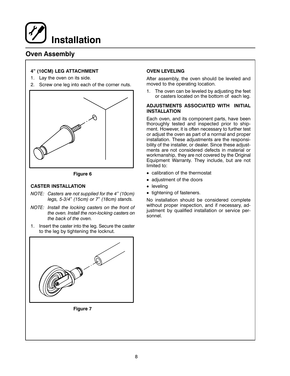## **Installation**

### **Oven Assembly**

#### 4" (10CM) LEG ATTACHMENT

- 1. Lay the oven on its side.
- 2. Screw one leg into each of the corner nuts.





#### **CASTER INSTALLATION**

- NOTE: Casters are not supplied for the 4" (10cm) legs, 5-3/4" (15cm) or 7" (18cm) stands.
- NOTE: Install the locking casters on the front of the oven. Install the non-locking casters on the back of the oven.
- 1. Insert the caster into the leg. Secure the caster to the leg by tightening the locknut.



Figure 7

#### **OVEN LEVELING**

After assembly, the oven should be leveled and moved to the operating location.

1. The oven can be leveled by adjusting the feet or casters located on the bottom of each leg.

#### ADJUSTMENTS ASSOCIATED WITH INITIAL **INSTALLATION**

Each oven, and its component parts, have been thoroughly tested and inspected prior to shipment. However, it is often necessary to further test or adjust the oven as part of a normal and proper installation. These adjustments are the responsibility of the installer, or dealer. Since these adjustments are not considered defects in material or workmanship, they are not covered by the Original Equipment Warranty. They include, but are not limited to:

- calibration of the thermostat
- adjustment of the doors
- leveling
- tightening of fasteners.

No installation should be considered complete without proper inspection, and if necessary, adjustment by qualified installation or service personnel.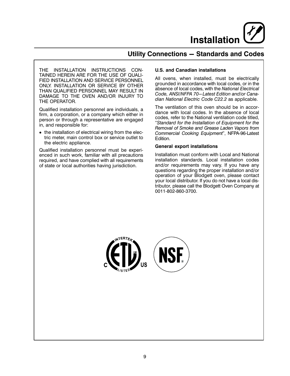**Installation** 

### **Utility Connections - Standards and Codes**

THE INSTALLATION INSTRUCTIONS CON-TAINED HEREIN ARE FOR THE USE OF QUALI-FIED INSTALLATION AND SERVICE PERSONNEL ONLY. INSTALLATION OR SERVICE BY OTHER THAN QUALIFIED PERSONNEL MAY RESULT IN DAMAGE TO THE OVEN AND/OR INJURY TO THE OPERATOR.

Qualified installation personnel are individuals, a firm, a corporation, or a company which either in person or through a representative are engaged in, and responsible for:

• the installation of electrical wiring from the electric meter, main control box or service outlet to the electric appliance.

Qualified installation personnel must be experienced in such work, familiar with all precautions required, and have complied with all requirements of state or local authorities having jurisdiction.

#### **U.S. and Canadian installations**

All ovens, when installed, must be electrically grounded in accordance with local codes, or in the absence of local codes, with the National Electrical Code, ANSI/NFPA 70-Latest Edition and/or Canadian National Electric Code C22.2 as applicable.

The ventilation of this oven should be in accordance with local codes. In the absence of local codes, refer to the National ventilation code titled, "Standard for the Installation of Equipment for the Removal of Smoke and Grease Laden Vapors from Commercial Cooking Equipment", NFPA-96-Latest Edition.

#### **General export installations**

Installation must conform with Local and National installation standards. Local installation codes and/or requirements may vary. If you have any questions regarding the proper installation and/or operation of your Blodgett oven, please contact your local distributor. If you do not have a local distributor, please call the Blodgett Oven Company at 0011-802-860-3700.

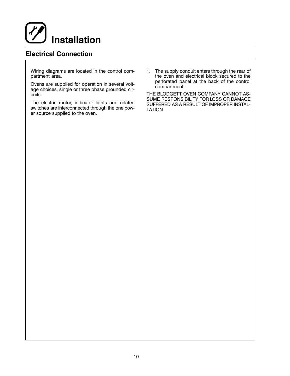

### **Electrical Connection**

Wiring diagrams are located in the control compartment area.

Ovens are supplied for operation in several voltage choices, single or three phase grounded circuits.

The electric motor, indicator lights and related switches are interconnected through the one power source supplied to the oven.

1. The supply conduit enters through the rear of the oven and electrical block secured to the perforated panel at the back of the control compartment.

THE BLODGETT OVEN COMPANY CANNOT AS-SUME RESPONSIBILITY FOR LOSS OR DAMAGE SUFFERED AS A RESULT OF IMPROPER INSTAL-LATION.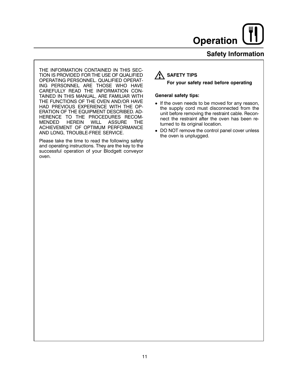### **Safety Information**

THE INFORMATION CONTAINED IN THIS SEC-TION IS PROVIDED FOR THE USE OF QUALIFIED OPERATING PERSONNEL. QUALIFIED OPERAT-ING PERSONNEL ARE THOSE WHO HAVE CAREFULLY READ THE INFORMATION CON-TAINED IN THIS MANUAL, ARE FAMILIAR WITH THE FUNCTIONS OF THE OVEN AND/OR HAVE HAD PREVIOUS EXPERIENCE WITH THE OP-ERATION OF THE EQUIPMENT DESCRIBED. AD-HERENCE TO THE PROCEDURES RECOM-**MENDED HEREIN WILL ASSURE THE** ACHIEVEMENT OF OPTIMUM PERFORMANCE AND LONG, TROUBLE-FREE SERVICE.

Please take the time to read the following safety and operating instructions. They are the key to the successful operation of your Blodgett conveyor oven.

## **A SAFETY TIPS**

#### For your safety read before operating

#### **General safety tips:**

- If the oven needs to be moved for any reason, the supply cord must disconnected from the unit before removing the restraint cable. Reconnect the restraint after the oven has been returned to its original location.
- DO NOT remove the control panel cover unless the oven is unplugged.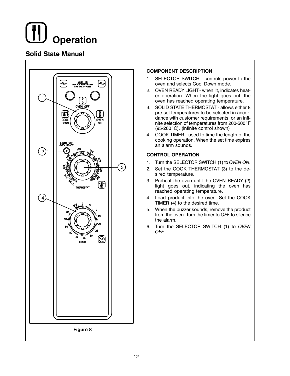### **Solid State Manual**



#### **COMPONENT DESCRIPTION**

- 1. SELECTOR SWITCH controls power to the oven and selects Cool Down mode.
- 2. OVEN READY LIGHT when lit, indicates heater operation. When the light goes out, the oven has reached operating temperature.
- 3. SOLID STATE THERMOSTAT allows either 8 pre-set temperatures to be selected in accordance with customer requirements, or an infinite selection of temperatures from 200-500°F (95-260°C). (infinite control shown)
- 4. COOK TIMER used to time the length of the cooking operation. When the set time expires an alarm sounds.

#### **CONTROL OPERATION**

- 1. Turn the SELECTOR SWITCH (1) to OVEN ON.
- 2. Set the COOK THERMOSTAT (3) to the desired temperature.
- 3. Preheat the oven until the OVEN READY (2) light goes out, indicating the oven has reached operating temperature.
- 4. Load product into the oven. Set the COOK TIMER (4) to the desired time.
- 5. When the buzzer sounds, remove the product from the oven. Turn the timer to OFF to silence the alarm
- 6. Turn the SELECTOR SWITCH (1) to OVEN OFF.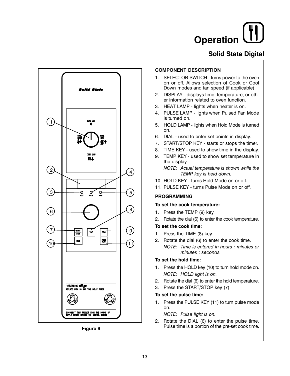## **Solid State Digital**



#### **COMPONENT DESCRIPTION**

- 1. SELECTOR SWITCH turns power to the oven on or off. Allows selection of Cook or Cool Down modes and fan speed (if applicable).
- 2. DISPLAY displays time, temperature, or other information related to oven function.
- 3. HEAT LAMP lights when heater is on.
- 4. PULSE LAMP lights when Pulsed Fan Mode is turned on.
- 5. HOLD LAMP lights when Hold Mode is turned on.
- 6. DIAL used to enter set points in display.
- 7. START/STOP KEY starts or stops the timer.
- 8. TIME KEY used to show time in the display.
- 9. TEMP KEY used to show set temperature in the display.

NOTE: Actual temperature is shown while the TEMP key is held down.

- 10. HOLD KEY turns Hold Mode on or off.
- 11. PULSE KEY turns Pulse Mode on or off.

#### **PROGRAMMING**

#### To set the cook temperature:

- 1. Press the TEMP (9) key.
- 2. Rotate the dial (6) to enter the cook temperature.

#### To set the cook time:

- 1. Press the TIME (8) key.
- 2. Rotate the dial (6) to enter the cook time. NOTE: Time is entered in hours : minutes or minutes : seconds.

#### To set the hold time:

- 1. Press the HOLD key (10) to turn hold mode on. NOTE: HOLD light is on.
- 2. Rotate the dial (6) to enter the hold temperature.
- 3. Press the START/STOP key (7)

#### To set the pulse time:

1. Press the PULSE KEY (11) to turn pulse mode  $\cap$ n

NOTE: Pulse light is on.

2. Rotate the DIAL (6) to enter the pulse time. Pulse time is a portion of the pre-set cook time.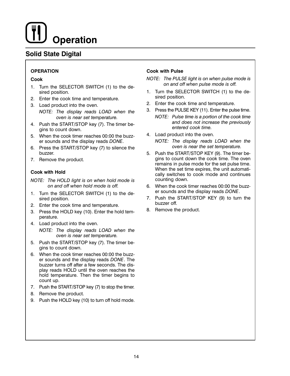## **Solid State Digital**

#### **OPERATION**

#### Cook

- 1. Turn the SELECTOR SWITCH (1) to the desired position.
- 2. Enter the cook time and temperature.
- 3. Load product into the oven.

NOTE: The display reads LOAD when the oven is near set temperature.

- 4. Push the START/STOP key (7). The timer begins to count down.
- 5. When the cook timer reaches 00:00 the buzzer sounds and the display reads DONE.
- 6. Press the START/STOP key (7) to silence the buzzer.
- 7. Remove the product.

#### **Cook with Hold**

NOTE: The HOLD light is on when hold mode is on and off when hold mode is off.

- 1. Turn the SELECTOR SWITCH (1) to the desired position.
- 2. Enter the cook time and temperature.
- 3. Press the HOLD key (10). Enter the hold temperature.
- 4. Load product into the oven. NOTE: The display reads LOAD when the oven is near set temperature.
- 5. Push the START/STOP key (7). The timer begins to count down.
- 6. When the cook timer reaches 00:00 the buzzer sounds and the display reads DONE. The buzzer turns off after a few seconds. The display reads HOLD until the oven reaches the hold temperature. Then the timer begins to count up.
- 7. Push the START/STOP key (7) to stop the timer.
- 8. Remove the product.
- 9. Push the HOLD key (10) to turn off hold mode.

#### **Cook with Pulse**

NOTE: The PULSE light is on when pulse mode is on and off when pulse mode is off.

- 1. Turn the SELECTOR SWITCH (1) to the desired position.
- 2. Enter the cook time and temperature.
- 3. Press the PULSE KEY (11). Enter the pulse time.
- NOTE: Pulse time is a portion of the cook time and does not increase the previously entered cook time.
- 4. Load product into the oven.
	- NOTE: The display reads LOAD when the oven is near the set temperature.
- 5. Push the START/STOP KEY (9). The timer begins to count down the cook time. The oven remains in pulse mode for the set pulse time. When the set time expires, the unit automatically switches to cook mode and continues counting down.
- 6. When the cook timer reaches 00:00 the buzzer sounds and the display reads DONE.
- 7. Push the START/STOP KEY (9) to turn the buzzer off.
- 8. Remove the product.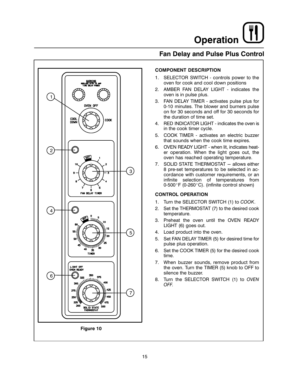### **Fan Delay and Pulse Plus Control**



#### **COMPONENT DESCRIPTION**

- 1. SELECTOR SWITCH controls power to the oven for cook and cool down positions
- 2. AMBER FAN DELAY LIGHT indicates the oven is in pulse plus.
- 3. FAN DELAY TIMER activates pulse plus for 0-10 minutes. The blower and burners pulse on for 30 seconds and off for 30 seconds for the duration of time set.
- 4. RED INDICATOR LIGHT indicates the oven is in the cook timer cycle.
- 5. COOK TIMER activates an electric buzzer that sounds when the cook time expires.
- 6. OVEN READY LIGHT when lit, indicates heater operation. When the light goes out, the oven has reached operating temperature.
- 7. SOLID STATE THERMOSTAT allows either 8 pre-set temperatures to be selected in accordance with customer requirements, or an infinite selection of temperatures from 0-500°F (0-260°C). (infinite control shown)

#### **CONTROL OPERATION**

- 1. Turn the SELECTOR SWITCH (1) to COOK.
- 2. Set the THERMOSTAT (7) to the desired cook temperature.
- 3. Preheat the oven until the OVEN READY LIGHT (6) goes out.
- 4. Load product into the oven.
- 5. Set FAN DELAY TIMER (5) for desired time for pulse plus operation.
- 6. Set the COOK TIMER (5) for the desired cook time.
- 7. When buzzer sounds, remove product from the oven. Turn the TIMER (5) knob to OFF to silence the buzzer.
- 8. Turn the SELECTOR SWITCH (1) to OVEN OFF.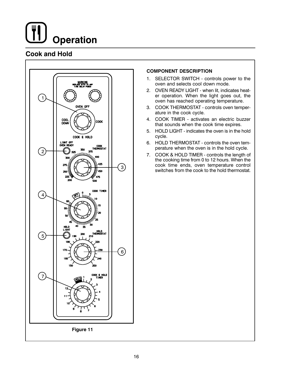## **Cook and Hold**



#### **COMPONENT DESCRIPTION**

- 1. SELECTOR SWITCH controls power to the oven and selects cool down mode.
- 2. OVEN READY LIGHT when lit, indicates heater operation. When the light goes out, the oven has reached operating temperature.
- 3. COOK THERMOSTAT controls oven temperature in the cook cycle.
- 4. COOK TIMER activates an electric buzzer that sounds when the cook time expires.
- 5. HOLD LIGHT indicates the oven is in the hold cycle.
- 6. HOLD THERMOSTAT controls the oven temperature when the oven is in the hold cycle.
- 7. COOK & HOLD TIMER controls the length of the cooking time from 0 to 12 hours. When the cook time ends, oven temperature control switches from the cook to the hold thermostat.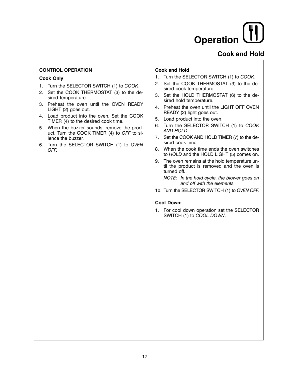### **Cook and Hold**

#### **CONTROL OPERATION**

#### **Cook Only**

- 1. Turn the SELECTOR SWITCH (1) to COOK.
- 2. Set the COOK THERMOSTAT (3) to the desired temperature.
- Preheat the oven until the OVEN READY 3. LIGHT (2) goes out.
- 4. Load product into the oven. Set the COOK TIMER (4) to the desired cook time.
- 5. When the buzzer sounds, remove the product. Turn the COOK TIMER (4) to OFF to silence the buzzer.
- 6. Turn the SELECTOR SWITCH (1) to OVEN OFF.

#### **Cook and Hold**

- 1. Turn the SELECTOR SWITCH (1) to COOK.
- $2.$ Set the COOK THERMOSTAT (3) to the desired cook temperature.
- 3. Set the HOLD THERMOSTAT (6) to the desired hold temperature.
- 4. Preheat the oven until the LIGHT OFF OVEN READY (2) light goes out.
- 5. Load product into the oven.
- 6. Turn the SELECTOR SWITCH (1) to COOK AND HOLD.
- 7. Set the COOK AND HOLD TIMER (7) to the desired cook time.
- 8. When the cook time ends the oven switches to HOLD and the HOLD LIGHT (5) comes on.
- 9. The oven remains at the hold temperature until the product is removed and the oven is turned off.

NOTE: In the hold cycle, the blower goes on and off with the elements.

10. Turn the SELECTOR SWITCH (1) to OVEN OFF.

#### **Cool Down:**

1. For cool down operation set the SELECTOR SWITCH (1) to COOL DOWN.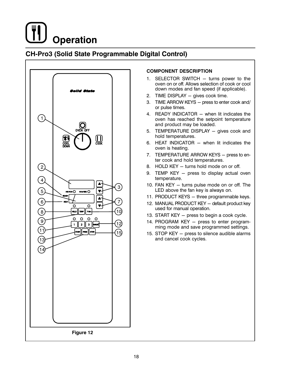## **CH-Pro3 (Solid State Programmable Digital Control)**



#### **COMPONENT DESCRIPTION**

- 1. SELECTOR SWITCH turns power to the oven on or off. Allows selection of cook or cool down modes and fan speed (if applicable).
- 2. TIME DISPLAY gives cook time.
- 3. TIME ARROW KEYS press to enter cook and/ or pulse times.
- 4. READY INDICATOR when lit indicates the oven has reached the setpoint temperature and product may be loaded.
- 5. TEMPERATURE DISPLAY gives cook and hold temperatures.
- 6. HEAT INDICATOR when lit indicates the oven is heating.
- 7. TEMPERATURE ARROW KEYS press to enter cook and hold temperatures.
- 8. HOLD KEY turns hold mode on or off.
- 9. TEMP KEY press to display actual oven temperature.
- 10. FAN KEY turns pulse mode on or off. The LED above the fan key is always on.
- 11. PRODUCT KEYS three programmable keys.
- 12. MANUAL PRODUCT KEY default product key used for manual operation.
- 13. START KEY press to begin a cook cycle.
- 14. PROGRAM KEY press to enter programming mode and save programmed settings.
- 15. STOP KEY press to silence audible alarms and cancel cook cycles.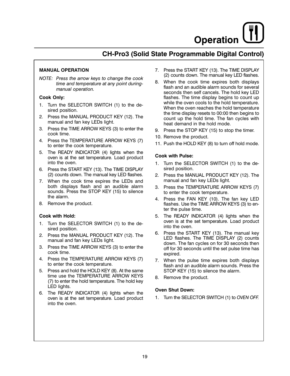## CH-Pro3 (Solid State Programmable Digital Control)

#### **MANUAL OPERATION**

NOTE: Press the arrow keys to change the cook time and temperature at any point duringmanual operation.

#### Cook Only:

- 1. Turn the SELECTOR SWITCH (1) to the desired position.
- 2. Press the MANUAL PRODUCT KEY (12). The manual and fan key LEDs light.
- 3. Press the TIME ARROW KEYS (3) to enter the cook time.
- 4. Press the TEMPERATURE ARROW KEYS (7) to enter the cook temperature.
- 5. The READY INDICATOR (4) lights when the oven is at the set temperature. Load product into the oven.
- 6. Press the START KEY (13). The TIME DISPLAY (2) counts down. The manual key LED flashes.
- 7. When the cook time expires the LEDs and both displays flash and an audible alarm sounds. Press the STOP KEY (15) to silence the alarm.
- 8. Remove the product.

#### Cook with Hold:

- 1. Turn the SELECTOR SWITCH (1) to the desired position.
- 2. Press the MANUAL PRODUCT KEY (12). The manual and fan key LEDs light.
- 3. Press the TIME ARROW KEYS (3) to enter the cook time.
- 4. Press the TEMPERATURE ARROW KEYS (7) to enter the cook temperature.
- 5. Press and hold the HOLD KEY (8). At the same time use the TEMPERATURE ARROW KEYS (7) to enter the hold temperature. The hold key LED lights.
- 6. The READY INDICATOR (4) lights when the oven is at the set temperature. Load product into the oven.
- 7. Press the START KEY (13). The TIME DISPLAY (2) counts down. The manual key LED flashes.
- 8. When the cook time expires both displays flash and an audible alarm sounds for several seconds then self cancels. The hold key LED flashes. The time display begins to count up while the oven cools to the hold temperature. When the oven reaches the hold temperature the time display resets to 00:00 then begins to count up the hold time. The fan cycles with heat demand in the hold mode.
- 9. Press the STOP KEY (15) to stop the timer.
- 10. Remove the product.
- 11. Push the HOLD KEY (8) to turn off hold mode.

#### **Cook with Pulse:**

- 1. Turn the SELECTOR SWITCH (1) to the desired position.
- $2.$ Press the MANUAL PRODUCT KEY (12). The manual and fan key LEDs light.
- 3. Press the TEMPERATURE ARROW KEYS (7) to enter the cook temperature.
- 4. Press the FAN KEY (10). The fan key LED flashes. Use the TIME ARROW KEYS (3) to enter the pulse time.
- 5. The READY INDICATOR (4) lights when the oven is at the set temperature. Load product into the oven.
- 6. Press the START KEY (13). The manual key LED flashes. The TIME DISPLAY (2) counts down. The fan cycles on for 30 seconds then off for 30 seconds until the set pulse time has expired.
- 7. When the pulse time expires both displays flash and an audible alarm sounds. Press the STOP KEY (15) to silence the alarm.
- 8. Remove the product.

#### **Oven Shut Down:**

1. Turn the SELECTOR SWITCH (1) to OVEN OFF.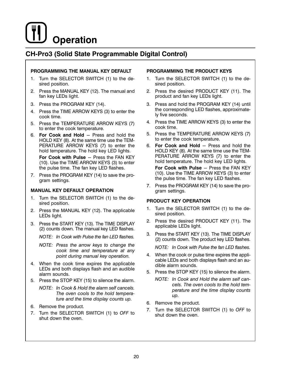## CH-Pro3 (Solid State Programmable Digital Control)

#### PROGRAMMING THE MANUAL KEY DEFAULT

- 1. Turn the SELECTOR SWITCH (1) to the desired position.
- 2. Press the MANUAL KEY (12). The manual and fan key LEDs light.
- 3. Press the PROGRAM KEY (14).
- 4. Press the TIME ARROW KEYS (3) to enter the cook time.
- 5. Press the TEMPERATURE ARROW KEYS (7) to enter the cook temperature.
- 6. For Cook and Hold Press and hold the HOLD KEY (8). At the same time use the TEM-PERATURE ARROW KEYS (7) to enter the hold temperature. The hold key LED lights.

For Cook with Pulse - Press the FAN KEY (10). Use the TIME ARROW KEYS (3) to enter the pulse time. The fan key LED flashes.

7. Press the PROGRAM KEY (14) to save the program settings.

#### MANUAL KEY DEFAULT OPERATION

- 1. Turn the SELECTOR SWITCH (1) to the desired position.
- 2. Press the MANUAL KEY (12). The applicable LEDs light.
- 3. Press the START KEY (13). The TIME DISPLAY (2) counts down. The manual key LED flashes.

NOTE: In Cook with Pulse the fan LED flashes.

- NOTE: Press the arrow keys to change the cook time and temperature at any point during manual key operation.
- 4. When the cook time expires the applicable LEDs and both displays flash and an audible alarm sounds.
- 5. Press the STOP KEY (15) to silence the alarm.
	- NOTE: In Cook & Hold the alarm self cancels. The oven cools to the hold temperature and the time display counts up.
- 6. Remove the product.
- 7. Turn the SELECTOR SWITCH (1) to OFF to shut down the oven.

#### PROGRAMMING THE PRODUCT KEYS

- 1. Turn the SELECTOR SWITCH (1) to the desired position.
- 2. Press the desired PRODUCT KEY (11). The product and fan key LEDs light.
- &-Press and hold the PROGRAM KEY (14) until the corresponding LED flashes, approximately five seconds.
- 4. Press the TIME ARROW KEYS (3) to enter the cook time.
- 5. Press the TEMPERATURE ARROW KEYS (7) to enter the cook temperature.
- 6. For Cook and Hold Press and hold the HOLD KEY (8). At the same time use the TEM-PERATURE ARROW KEYS (7) to enter the hold temperature. The hold key LED lights. For Cook with Pulse - Press the FAN KEY (10). Use the TIME ARROW KEYS (3) to enter the pulse time. The fan key LED flashes.
- 7. Press the PROGRAM KEY (14) to save the program settings.

#### PRODUCT KEY OPERATION

- 1. Turn the SELECTOR SWITCH (1) to the desired position.
- 2. Press the desired PRODUCT KEY (11). The applicable LEDs light.
- 3. Press the START KEY (13). The TIME DISPLAY (2) counts down. The product key LED flashes.

NOTE: In Cook with Pulse the fan LED flashes.

- 4. When the cook or pulse time expires the applicable LEDs and both displays flash and an audible alarm sounds.
- 5. Press the STOP KEY (15) to silence the alarm. NOTE: In Cook and Hold the alarm self cancels. The oven cools to the hold temperature and the time display counts up.
- 6. Remove the product.
- 7. Turn the SELECTOR SWITCH (1) to OFF to shut down the oven.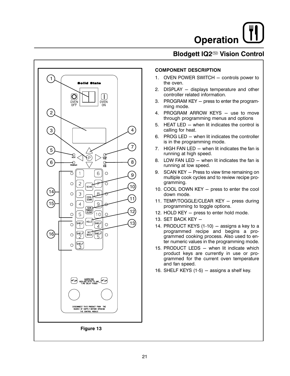## Blodgett IQ2<sup>(136)</sup> Vision Control



#### **COMPONENT DESCRIPTION**

- 1. OVEN POWER SWITCH controls power to the oven.
- 2. DISPLAY displays temperature and other controller related information.
- 3. PROGRAM KEY press to enter the programming mode.
- 4. PROGRAM ARROW KEYS use to move through programming menus and options
- 5. HEAT LED when lit indicates the control is calling for heat.
- 6. PROG LED when lit indicates the controller is in the programming mode.
- 7. HIGH FAN LED when lit indicates the fan is running at high speed.
- 8. LOW FAN LED when lit indicates the fan is running at low speed.
- 9. SCAN KEY Press to view time remaining on multiple cook cycles and to review recipe programming.
- 10. COOL DOWN KEY press to enter the cool down mode.
- 11. TEMP/TOGGLE/CLEAR KEY press during programming to toggle options.
- 12. HOLD KEY press to enter hold mode.
- 13. SET BACK KEY -
- 14. PRODUCT KEYS (1-10) assigns a key to a programmed recipe and begins a programmed cooking process. Also used to enter numeric values in the programming mode.
- 15. PRODUCT LEDS when lit indicate which product keys are currently in use or programmed for the current oven temperature and fan speed.
- 16. SHELF KEYS  $(1-5)$  assigns a shelf key.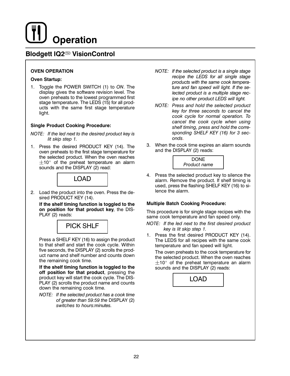### Blodgett IQ2<sup>™</sup> VisionControl

#### **OVEN OPERATION**

#### **Oven Startup:**

1. Toggle the POWER SWITCH (1) to ON. The display gives the software revision level. The oven preheats to the lowest programmed first stage temperature. The LEDS (15) for all products with the same first stage temperature light.

#### **Single Product Cooking Procedure:**

- NOTE: If the led next to the desired product key is lit skip step 1.
- 1. Press the desired PRODUCT KEY (14). The oven preheats to the first stage temperature for the selected product. When the oven reaches  $\pm$ 10° of the preheat temperature an alarm sounds and the DISPLAY (2) read:



2. Load the product into the oven. Press the desired PRODUCT KEY (14).

If the shelf timing function is toggled to the on position for that product key, the DIS-PLAY (2) reads:



Press a SHELF KEY (16) to assign the product to that shelf and start the cook cycle. Within five seconds, the DISPLAY (2) scrolls the product name and shelf number and counts down the remaining cook time.

If the shelf timing function is toggled to the off position for that product, pressing the product key will start the cook cycle. The DIS-PLAY (2) scrolls the product name and counts down the remaining cook time.

NOTE: If the selected product has a cook time of greater than 59:59 the DISPLAY (2) switches to hours: minutes.

- NOTE: If the selected product is a single stage recipe the LEDS for all single stage products with the same cook temperature and fan speed will light. If the selected product is a multiple stage recipe no other product LEDS will light.
- NOTE: Press and hold the selected product key for three seconds to cancel the cook cycle for normal operation. To cancel the cook cycle when using shelf timing, press and hold the corresponding SHELF KEY (16) for 3 seconds
- 3. When the cook time expires an alarm sounds and the DISPLAY (2) reads:



4. Press the selected product key to silence the alarm. Remove the product. If shelf timing is used, press the flashing SHELF KEY (16) to silence the alarm.

#### **Multiple Batch Cooking Procedure:**

This procedure is for single stage recipes with the same cook temperature and fan speed only.

- NOTE: If the led next to the first desired product key is lit skip step 1.
- 1. Press the first desired PRODUCT KEY (14). The LEDS for all recipes with the same cook temperature and fan speed will light.

The oven preheats to the cook temperature for the selected product. When the oven reaches  $\pm$ 10° of the preheat temperature an alarm sounds and the DISPLAY (2) reads:

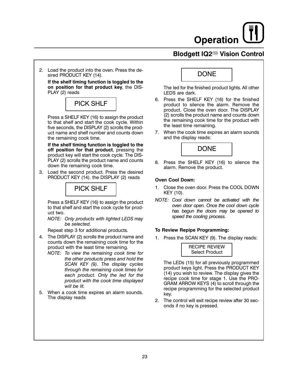## **Blodgett IQ2<sup>®</sup> Vision Control**

2. Load the product into the oven. Press the desired PRODUCT KEY (14).

If the shelf timing function is toggled to the on position for that product key, the DIS-PLAY (2) reads



Press a SHELF KEY (16) to assign the product to that shelf and start the cook cycle. Within five seconds, the DISPLAY (2) scrolls the product name and shelf number and counts down the remaining cook time.

If the shelf timing function is toggled to the off position for that product, pressing the product key will start the cook cycle. The DIS-PLAY (2) scrolls the product name and counts down the remaining cook time.

3. Load the second product. Press the desired PRODUCT KEY (14). the DISPLAY (2) reads



Press a SHELF KEY (16) to assign the product to that shelf and start the cook cycle for product two.

NOTE: Only products with lighted LEDS may be selected.

Repeat step 3 for additional products.

- 4. The DISPLAY (2) scrolls the product name and counts down the remaining cook time for the product with the least time remaining.
	- NOTE: To view the remaining cook time for the other products press and hold the SCAN KEY (9). The display cycles through the remaining cook times for each product. Only the led for the product with the cook time displayed will he lit
- 5. When a cook time expires an alarm sounds. The display reads

## **DONE**

The led for the finished product lights. All other LEDS are dark.

- 6. Press the SHELF KEY (16) for the finished product to silence the alarm. Remove the product. Close the oven door. The DISPLAY (2) scrolls the product name and counts down the remaining cook time for the product with the least time remaining.
- 7. When the cook time expires an alarm sounds and the display reads:



8. Press the SHELF KEY (16) to silence the alarm. Remove the product.

#### **Oven Cool Down:**

- 1. Close the oven door. Press the COOL DOWN KEY (10).
- NOTE: Cool down cannot be activated with the oven door open. Once the cool down cycle has begun the doors may be opened to speed the cooling process.

#### To Review Repipe Programming:

1. Press the SCAN KEY (9). The display reads:



The LEDs (15) for all previously programmed product keys light. Press the PRODUCT KEY (14) you wish to review. The display gives the recipe cook time for stage 1. Use the PRO-GRAM ARROW KEYS (4) to scroll through the recipe programming for the selected product kev.

2. The control will exit recipe review after 30 seconds if no key is pressed.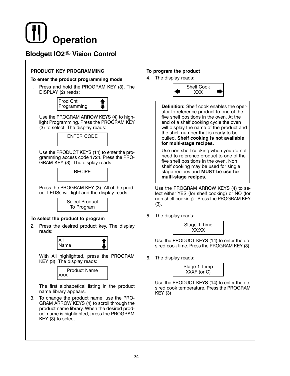## **Blodgett IQ2<sup></sup><sup>®</sup> Vision Control**

#### PRODUCT KEY PROGRAMMING

#### To enter the product programming mode

1. Press and hold the PROGRAM KEY (3). The DISPLAY (2) reads:



Use the PROGRAM ARROW KEYS (4) to highlight Programming. Press the PROGRAM KEY (3) to select. The display reads:



Use the PRODUCT KEYS (14) to enter the programming access code 1724. Press the PRO-GRAM KEY (3). The display reads:

**RECIPE** 

Press the PROGRAM KEY (3). All of the product LEDSs will light and the display reads:



#### To select the product to program

2. Press the desired product key. The display reads:



With All highlighted, press the PROGRAM KEY (3). The display reads:



The first alphabetical listing in the product name library appears.

3. To change the product name, use the PRO-GRAM ARROW KEYS (4) to scroll through the product name library. When the desired product name is highlighted, press the PROGRAM KEY (3) to select.

#### To program the product

4. The display reads:



Definition: Shelf cook enables the operator to reference product to one of the five shelf positions in the oven. At the end of a shelf cooking cycle the oven will display the name of the product and the shelf number that is ready to be pulled. Shelf cooking is not available for multi-stage recipes.

Use non shelf cooking when you do not need to reference product to one of the five shelf positions in the oven. Non shelf cooking may be used for single stage recipes and MUST be use for multi-stage recipes.

Use the PROGRAM ARROW KEYS (4) to select either YES (for shelf cooking) or NO (for non shelf cooking). Press the PROGRAM KEY  $(3).$ 

5. The display reads:



Use the PRODUCT KEYS (14) to enter the desired cook time. Press the PROGRAM KEY (3).

6. The display reads:



Use the PRODUCT KEYS (14) to enter the desired cook temperature. Press the PROGRAM KEY (3).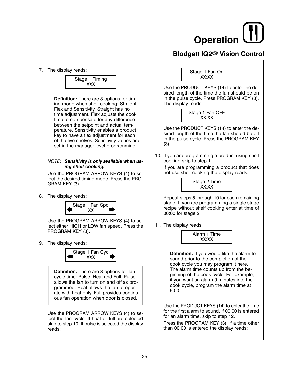## Blodgett IQ2<sup>(136)</sup> Vision Control

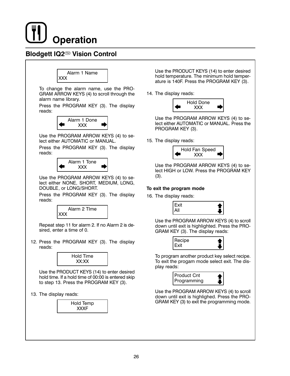

## **Blodgett IQ2<sup></sup><sup>®</sup> Vision Control**



To change the alarm name, use the PRO-GRAM ARROW KEYS (4) to scroll through the alarm name library.

Press the PROGRAM KEY (3). The display reads:



Use the PROGRAM ARROW KEYS (4) to select either AUTOMATIC or MANUAL.

Press the PROGRAM KEY (3). The display reads:



Use the PROGRAM ARROW KEYS (4) to select either NONE, SHORT, MEDIUM, LONG, DOUBLE, or LONG/SHORT.

Press the PROGRAM KEY (3). The display reads:



Repeat step 11 for alarm 2. If no Alarm 2 is desired, enter a time of 0.

12. Press the PROGRAM KEY (3). The display reads:



Use the PRODUCT KEYS (14) to enter desired hold time. If a hold time of 00:00 is entered skip to step 13. Press the PROGRAM KEY (3).

13. The display reads:



Use the PRODUCT KEYS (14) to enter desired hold temperature. The minimum hold temperature is 140F. Press the PROGRAM KEY (3).

14. The display reads:



Use the PROGRAM ARROW KEYS (4) to select either AUTOMATIC or MANUAL. Press the PROGRAM KEY (3).

15. The display reads:



Use the PROGRAM ARROW KEYS (4) to select HIGH or LOW. Press the PROGRAM KEY  $(3).$ 

#### To exit the program mode

16. The display reads:



Use the PROGRAM ARROW KEYS (4) to scroll down until exit is highlighted. Press the PRO-GRAM KEY (3). The display reads:



To program another product key select recipe. To exit the progam mode select exit. The display reads:



Use the PROGRAM ARROW KEYS (4) to scroll down until exit is highlighed. Press the PRO-GRAM KEY (3) to exit the programming mode.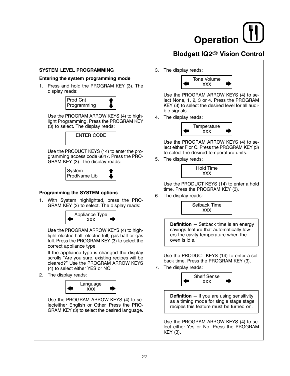## **Blodgett IQ2<sup>®</sup> Vision Control**

#### **SYSTEM LEVEL PROGRAMMING**

#### Entering the system programming mode

1. Press and hold the PROGRAM KEY (3). The display reads:



Use the PROGRAM ARROW KEYS (4) to highlight Programming. Press the PROGRAM KEY (3) to select. The display reads:



Use the PRODUCT KEYS (14) to enter the programming access code 6647. Press the PRO-GRAM KEY (3). The display reads:



#### **Programming the SYSTEM options**

1. With System highlighted, press the PRO-GRAM KEY (3) to select. The display reads:



Use the PROGRAM ARROW KEYS (4) to highlight electric half, electric full, gas half or gas full. Press the PROGRAM KEY (3) to select the correct appliance type.

If the appliance type is changed the display scrolls "Are you sure, existing recipes will be cleared?" Use the PROGRAM ARROW KEYS (4) to select either YES or NO.

2. The display reads:



Use the PROGRAM ARROW KEYS (4) to selecteither English or Other. Press the PRO-GRAM KEY (3) to select the desired language. 3. The display reads:



Use the PROGRAM ARROW KEYS (4) to select None, 1, 2, 3 or 4. Press the PROGRAM KEY (3) to select the desired level for all audible signals.

4. The display reads:



Use the PROGRAM ARROW KEYS (4) to select either F or C. Press the PROGRAM KEY (3) to select the desired temperature units.

5. The display reads:



Use the PRODUCT KEYS (14) to enter a hold time. Press the PROGRAM KEY (3).

6. The display reads:



**Definition** - Setback time is an energy savings feature that automatically lowers the cavity temperature when the oven is idle.

Use the PRODUCT KEYS (14) to enter a setback time. Press the PROGRAM KEY (3).

7. The display reads:



Use the PROGRAM ARROW KEYS (4) to select either Yes or No. Press the PROGRAM KEY (3).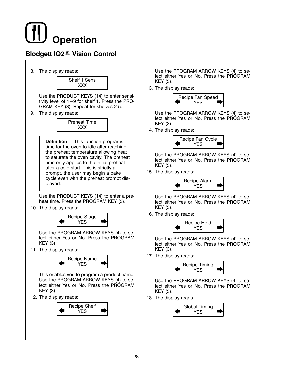## **Blodgett IQ2<sup></sup><sup>®</sup> Vision Control**

8. The display reads:



Use the PRODUCT KEYS (14) to enter sensitivity level of 1-9 for shelf 1. Press the PRO-GRAM KEY (3). Repeat for shelves 2-5.

9. The display reads:



**Definition** - This function programs time for the oven to idle after reaching the preheat temperature allowing heat to saturate the oven cavity. The preheat time only applies to the initial preheat after a cold start. This is strictly a prompt, the user may begin a bake cycle even with the preheat prompt displayed.

Use the PRODUCT KEYS (14) to enter a preheat time. Press the PROGRAM KEY (3).

10. The display reads:



Use the PROGRAM ARROW KEYS (4) to select either Yes or No. Press the PROGRAM KEY (3).

11. The display reads:



This enables you to program a product name. Use the PROGRAM ARROW KEYS (4) to select either Yes or No. Press the PROGRAM KEY (3).

12. The display reads:



Use the PROGRAM ARROW KEYS (4) to select either Yes or No. Press the PROGRAM KEY (3).

13. The display reads:



Use the PROGRAM ARROW KEYS (4) to select either Yes or No. Press the PROGRAM KEY (3).

14. The display reads:



Use the PROGRAM ARROW KEYS (4) to select either Yes or No. Press the PROGRAM KEY (3).

15. The display reads:



Use the PROGRAM ARROW KEYS (4) to select either Yes or No. Press the PROGRAM KEY (3).

16. The display reads:



Use the PROGRAM ARROW KEYS (4) to select either Yes or No. Press the PROGRAM KEY (3).

17. The display reads:



Use the PROGRAM ARROW KEYS (4) to select either Yes or No. Press the PROGRAM KEY (3).

18. The display reads

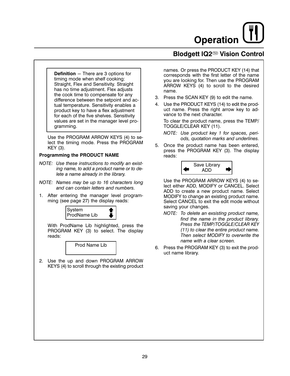## **Blodgett IQ2<sup>®</sup> Vision Control**

**Definition**  $-$  There are 3 options for timing mode when shelf cooking: Straight, Flex and Sensitivity. Straight has no time adjustment. Flex adjusts the cook time to compensate for any difference between the setpoint and actual temperature. Sensitivity enables a product key to have a flex adjustment for each of the five shelves. Sensitivity values are set in the manager level programming.

Use the PROGRAM ARROW KEYS (4) to select the timing mode. Press the PROGRAM KEY (3).

#### **Programming the PRODUCT NAME**

- NOTE: Use these instructions to modify an existing name, to add a product name or to delete a name already in the library.
- NOTE: Names may be up to 16 characters long and can contain letters and numbers.
- 1. After entering the manager level programming (see page 27) the display reads:



With ProdName Lib highlighted, press the PROGRAM KEY (3) to select. The display reads:



2. Use the up and down PROGRAM ARROW KEYS (4) to scroll through the existing product names. Or press the PRODUCT KEY (14) that corresponds with the first letter of the name you are looking for. Then use the PROGRAM ARROW KEYS (4) to scroll to the desired name.

- 3. Press the SCAN KEY (9) to edit the name.
- 4. Use the PRODUCT KEYS (14) to edit the product name. Press the right arrow key to advance to the next character.

To clear the product name, press the TEMP/ TOGGLE/CLEAR KEY (11).

NOTE: Use product key 1 for spaces, periods, quotation marks and underlines.

5. Once the product name has been entered, press the PROGRAM KEY (3). The display reads:



Use the PROGRAM ARROW KEYS (4) to select either ADD, MODIFY or CANCEL. Select ADD to create a new product name. Select MODIFY to change an existing product name. Select CANCEL to exit the edit mode without saving your changes.

- NOTE: To delete an exsisting product name, find the name in the product library. Press the TEMP/TOGGLE/CLEAR KEY (11) to clear the entire product name. Then select MODIFY to overwrite the name with a clear screen.
- 6. Press the PROGRAM KEY (3) to exit the product name library.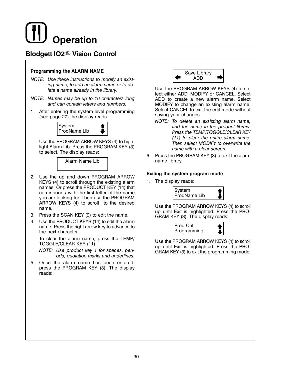## Blodgett IQ2<sup>™</sup> Vision Control

#### **Programming the ALARM NAME**

- NOTE: Use these instructions to modify an existing name, to add an alarm name or to delete a name already in the library.
- NOTE: Names may be up to 16 characters long and can contain letters and numbers.
- 1. After entering the system level programming (see page 27) the display reads:



Use the PROGRAM ARROW KEYS (4) to highlight Alarm Lib. Press the PROGRAM KEY (3) to select. The display reads:



- 2. Use the up and down PROGRAM ARROW KEYS (4) to scroll through the existing alarm names. Or press the PRODUCT KEY (14) that corresponds with the first letter of the name you are looking for. Then use the PROGRAM ARROW KEYS (4) to scroll to the desired name.
- 3. Press the SCAN KEY (9) to edit the name.
- 4. Use the PRODUCT KEYS (14) to edit the alarm name. Press the right arrow key to advance to the next character.

To clear the alarm name, press the TEMP/ TOGGLE/CLEAR KEY (11).

NOTE: Use product key 1 for spaces, periods, quotation marks and underlines.

5. Once the alarm name has been entered, press the PROGRAM KEY (3). The display reads:



Use the PROGRAM ARROW KEYS (4) to select either ADD, MODIFY or CANCEL. Select ADD to create a new alarm name. Select MODIFY to change an existing alarm name. Select CANCEL to exit the edit mode without saving your changes.

- NOTE: To delete an exsisting alarm name, find the name in the product library. Press the TEMP/TOGGLE/CLEAR KEY (11) to clear the entire alarm name. Then select MODIFY to overwrite the name with a clear screen.
- 6. Press the PROGRAM KEY (3) to exit the alarm name library.

#### Exiting the system program mode

1. The display reads:



Use the PROGRAM ARROW KEYS (4) to scroll up until Exit is highlighted. Press the PRO-GRAM KEY (3). The display reads:



Use the PROGRAM ARROW KEYS (4) to scroll up until Exit is highlighted. Press the PRO-GRAM KEY (3) to exit the programming mode.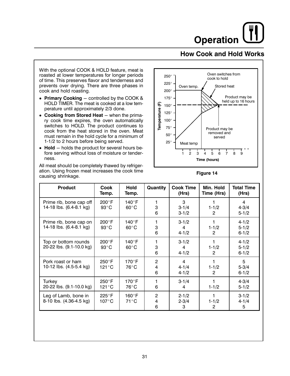### **How Cook and Hold Works**

With the optional COOK & HOLD feature, meat is roasted at lower temperatures for longer periods of time. This preserves flavor and tenderness and prevents over drying. There are three phases in cook and hold roasting.

- Primary Cooking controlled by the COOK & HOLD TIMER. The meat is cooked at a low temperature until approximately 2/3 done.
- Cooking from Stored Heat when the primary cook time expires, the oven automatically switches to HOLD. The product continues to cook from the heat stored in the oven. Meat must remain in the hold cycle for a minimum of 1-1/2 to 2 hours before being served.
- $\bullet$  Hold  $-$  holds the product for several hours before serving without loss of moisture or tenderness.

All meat should be completely thawed by refrigeration. Using frozen meat increases the cook time causing shrinkage.



Figure 14

| <b>Product</b>                                     | Cook<br>Temp.                      | Hold<br>Temp.                   | Quantity                 | <b>Cook Time</b><br>(Hrs)   | Min. Hold<br>Time (Hrs) | <b>Total Time</b><br>(Hrs)          |
|----------------------------------------------------|------------------------------------|---------------------------------|--------------------------|-----------------------------|-------------------------|-------------------------------------|
| Prime rib, bone cap off<br>14-18 lbs. (6.4-8.1 kg) | $200^{\circ}$ F<br>$93^{\circ}$ C  | 140°F<br>$60^{\circ}$ C         | 3<br>6                   | 3<br>$3 - 1/4$<br>$3 - 1/2$ | $1 - 1/2$<br>2          | 4<br>$4 - 3/4$<br>$5 - 1/2$         |
| Prime rib, bone cap on<br>14-18 lbs. (6.4-8.1 kg)  | $200^{\circ}$ F<br>$93^{\circ}$ C  | 140°F<br>$60^{\circ}$ C         | 1<br>3<br>6              | $3 - 1/2$<br>4<br>$4 - 1/2$ | $1 - 1/2$<br>2          | $4 - 1/2$<br>$5 - 1/2$<br>$6 - 1/2$ |
| Top or bottom rounds<br>20-22 lbs. (9.1-10.0 kg)   | $200^{\circ}$ F<br>$93^{\circ}$ C  | 140°F<br>$60^{\circ}$ C         | 1<br>3<br>6              | $3 - 1/2$<br>4<br>$4 - 1/2$ | $1 - 1/2$<br>2          | $4 - 1/2$<br>$5 - 1/2$<br>$6 - 1/2$ |
| Pork roast or ham<br>10-12 lbs. (4.5-5.4 kg)       | $250^{\circ}$ F<br>$121^{\circ}$ C | $170^\circ F$<br>76°C           | $\overline{2}$<br>4<br>6 | 4<br>$4 - 1/4$<br>$4 - 1/2$ | $1 - 1/2$<br>2          | 5<br>$5 - 3/4$<br>$6 - 1/2$         |
| Turkey<br>20-22 lbs. (9.1-10.0 kg)                 | $250^{\circ}$ F<br>$121^{\circ}$ C | $170^\circ$ F<br>76°C           | 1<br>6                   | $3 - 1/4$<br>4              | $1 - 1/2$               | $4 - 3/4$<br>$5 - 1/2$              |
| Leg of Lamb, bone in<br>8-10 lbs. (4.36-4.5 kg)    | $225^{\circ}$ F<br>$107^{\circ}$ C | $160^\circ F$<br>$71^{\circ}$ C | 2<br>4<br>6              | $2 - 1/2$<br>$2 - 3/4$<br>3 | $1 - 1/2$<br>2          | $3 - 1/2$<br>$4 - 1/4$<br>5         |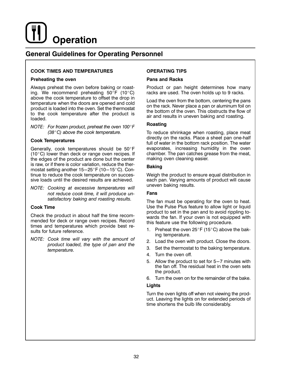### **General Guidelines for Operating Personnel**

#### **COOK TIMES AND TEMPERATURES**

#### **Preheating the oven**

Always preheat the oven before baking or roasting. We recommend preheating  $50^{\circ}F$  (10 $^{\circ}C$ ) above the cook temperature to offset the drop in temperature when the doors are opened and cold product is loaded into the oven. Set the thermostat to the cook temperature after the product is loaded.

NOTE: For frozen product, preheat the oven  $100^{\circ}$ F  $(38^{\circ}C)$  above the cook temperature.

#### **Cook Temperatures**

Generally, cook temperatures should be 50°F  $(10^{\circ}$ C) lower than deck or range oven recipes. If the edges of the product are done but the center is raw, or if there is color variation, reduce the thermostat setting another 15-25°F (10-15°C). Continue to reduce the cook temperature on successive loads until the desired results are achieved.

NOTE: Cooking at excessive temperatures will not reduce cook time, it will produce unsatisfactory baking and roasting results.

#### **Cook Time**

Check the product in about half the time recommended for deck or range oven recipes. Record times and temperatures which provide best results for future reference.

NOTE: Cook time will vary with the amount of product loaded, the type of pan and the temperature.

#### **OPERATING TIPS**

#### **Pans and Racks**

Product or pan height determines how many racks are used. The oven holds up to 9 racks.

Load the oven from the bottom, centering the pans on the rack. Never place a pan or aluminum foil on the bottom of the oven. This obstructs the flow of air and results in uneven baking and roasting.

#### Roasting

To reduce shrinkage when roasting, place meat directly on the racks. Place a sheet pan one-half full of water in the bottom rack position. The water evaporates, increasing humidity in the oven chamber. The pan catches grease from the meat, making oven cleaning easier.

#### **Baking**

Weigh the product to ensure equal distribution in each pan. Varying amounts of product will cause uneven baking results.

#### **Fans**

The fan must be operating for the oven to heat. Use the Pulse Plus feature to allow light or liquid product to set in the pan and to avoid rippling towards the fan. If your oven is not equipped with this feature use the following procedure.

- Preheat the oven 25°F (15°C) above the bak-1. ing temperature.
- 2. Load the oven with product. Close the doors.
- 3. Set the thermostat to the baking temperature.
- 4. Turn the oven off.
- 5. Allow the product to set for 5-7 minutes with the fan off. The residual heat in the oven sets the product.
- 6. Turn the oven on for the remainder of the bake.

#### Lights

Turn the oven lights off when not viewing the product. Leaving the lights on for extended periods of time shortens the bulb life considerably.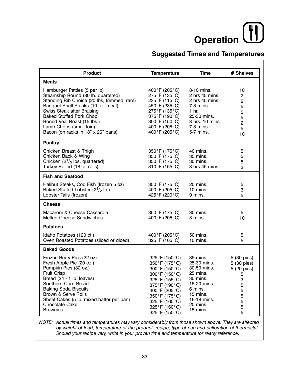# Operation

## **Suggested Times and Temperatures**

| <b>Product</b>                                                                                                                                                                                                                                                                                                         | <b>Temperature</b>                                                                                                                                                                                           | <b>Time</b>                                                                                                                                 | # Shelves                                                                                   |  |
|------------------------------------------------------------------------------------------------------------------------------------------------------------------------------------------------------------------------------------------------------------------------------------------------------------------------|--------------------------------------------------------------------------------------------------------------------------------------------------------------------------------------------------------------|---------------------------------------------------------------------------------------------------------------------------------------------|---------------------------------------------------------------------------------------------|--|
| <b>Meats</b>                                                                                                                                                                                                                                                                                                           |                                                                                                                                                                                                              |                                                                                                                                             |                                                                                             |  |
| Hamburger Patties (5 per lb)<br>Steamship Round (80 lb. quartered)<br>Standing Rib Choice (20 lbs, trimmed, rare)<br>Banquet Shell Steaks (10 oz. meat)<br>Swiss Steak after Braising<br><b>Baked Stuffed Pork Chop</b><br>Boned Veal Roast (15 lbs.)<br>Lamb Chops (small loin)<br>Bacon (on racks in 18" x 26" pans) | 400°F (205°C)<br>275°F (135°C)<br>235°F (115°C)<br>450°F (235°C)<br>275°F (135°C)<br>375°F (190°C)<br>300°F (150°C)<br>400°F (205°C)<br>400°F (205°C)                                                        | 8-10 mins.<br>2 hrs 45 mins.<br>2 hrs 45 mins.<br>7-8 mins.<br>1 <sub>hr.</sub><br>25-30 mins.<br>3 hrs. 10 mins.<br>7-8 mins.<br>5-7 mins. | 10<br>$\overline{\mathbf{c}}$<br>$\overline{c}$<br>5<br>5<br>5<br>$\overline{c}$<br>5<br>10 |  |
| <b>Poultry</b>                                                                                                                                                                                                                                                                                                         |                                                                                                                                                                                                              |                                                                                                                                             |                                                                                             |  |
| Chicken Breast & Thigh<br>Chicken Back & Wing<br>Chicken $(2^1)_2$ lbs. quartered)<br>Turkey Rolled (18 lb. rolls)                                                                                                                                                                                                     | 350°F (175°C)<br>350°F (175°C)<br>350°F (175°C)<br>310°F (155°C)                                                                                                                                             | 40 mins.<br>35 mins.<br>30 mins.<br>3 hrs 45 mins.                                                                                          | 5<br>5<br>5<br>3                                                                            |  |
| <b>Fish and Seafood</b>                                                                                                                                                                                                                                                                                                |                                                                                                                                                                                                              |                                                                                                                                             |                                                                                             |  |
| Halibut Steaks, Cod Fish (frozen 5 oz)<br>Baked Stuffed Lobster $(2^1/2)$ lb.)<br>Lobster Tails (frozen)                                                                                                                                                                                                               | 350°F (175°C)<br>400°F (205°C)<br>425°F (220°C)                                                                                                                                                              | 20 mins.<br>10 mins.<br>9 mins.                                                                                                             | 5<br>3<br>5                                                                                 |  |
| <b>Cheese</b>                                                                                                                                                                                                                                                                                                          |                                                                                                                                                                                                              |                                                                                                                                             |                                                                                             |  |
| Macaroni & Cheese Casserole<br>Melted Cheese Sandwiches                                                                                                                                                                                                                                                                | 350°F (175°C)<br>400°F (205°C)                                                                                                                                                                               | 30 mins.<br>8 mins.                                                                                                                         | 5<br>10                                                                                     |  |
| <b>Potatoes</b>                                                                                                                                                                                                                                                                                                        |                                                                                                                                                                                                              |                                                                                                                                             |                                                                                             |  |
| Idaho Potatoes (120 ct.)<br>Oven Roasted Potatoes (sliced or diced)                                                                                                                                                                                                                                                    | 400°F (205°C)<br>325°F (165°C)                                                                                                                                                                               | 50 mins.<br>10 mins.                                                                                                                        | 5<br>5                                                                                      |  |
| <b>Baked Goods</b>                                                                                                                                                                                                                                                                                                     |                                                                                                                                                                                                              |                                                                                                                                             |                                                                                             |  |
| Frozen Berry Pies (22 oz)<br>Fresh Apple Pie (20 oz.)<br>Pumpkin Pies (32 oz.)<br><b>Fruit Crisp</b><br>Bread (24 - 1 lb. loaves)<br>Southern Corn Bread<br><b>Baking Soda Biscuits</b><br>Brown & Serve Rolls<br>Sheet Cakes (5 lb. mixed batter per pan)<br>Chocolate Cake<br><b>Brownies</b>                        | $325^{\circ}$ F (150 $^{\circ}$ C)<br>350°F (175°C)<br>300°F (150°C)<br>300°F (150°C)<br>325°F (155°C)<br>375°F (190°C)<br>400°F (205°C)<br>350°F (175°C)<br>325°F (160°C)<br>325°F (160°C)<br>325°F (150°C) | 35 mins.<br>25-30 mins.<br>30-50 mins.<br>25 mins.<br>30 mins.<br>15-20 mins.<br>6 mins.<br>15 mins.<br>16-18 mins.<br>20 mins.<br>15 mins. | 5 (30 pies)<br>5 (30 pies)<br>5 (20 pies)<br>5<br>3<br>5<br>5<br>5<br>5<br>5<br>5           |  |

NOTE: Actual times and temperatures may vary considerably from those shown above. They are affected by weight of load, temperature of the product, recipe, type of pan and calibration of thermostat. Should your recipe vary, write in your proven time and temperature for ready reference.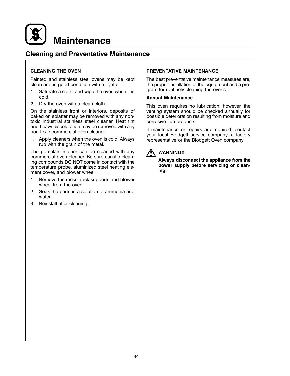

## **Cleaning and Preventative Maintenance**

### **CLEANING THE OVEN**

Painted and stainless steel ovens may be kept clean and in good condition with a light oil.

- 1. Saturate a cloth, and wipe the oven when it is cold.
- 2. Dry the oven with a clean cloth.

On the stainless front or interiors, deposits of baked on splatter may be removed with any nontoxic industrial stainless steel cleaner. Heat tint and heavy discoloration may be removed with any non-toxic commercial oven cleaner.

1. Apply cleaners when the oven is cold. Always rub with the grain of the metal.

The porcelain interior can be cleaned with any commercial oven cleaner. Be sure caustic cleaning compounds DO NOT come in contact with the temperature probe, aluminized steel heating element cover, and blower wheel.

- $1.$ Remove the racks, rack supports and blower wheel from the oven.
- 2. Soak the parts in a solution of ammonia and water
- 3. Reinstall after cleaning.

#### PREVENTATIVE MAINTENANCE

The best preventative maintenance measures are, the proper installation of the equipment and a program for routinely cleaning the ovens.

#### **Annual Maintenance**

This oven requires no lubrication, however, the venting system should be checked annually for possible deterioration resulting from moisture and corrosive flue products.

If maintenance or repairs are required, contact your local Blodgett service company, a factory representative or the Blodgett Oven company.



## **WARNING!!**

Always disconnect the appliance from the power supply before servicing or cleaning.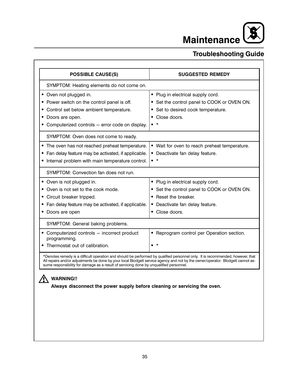$\boldsymbol{\mathcal{S}}$ Maintenance

## **Troubleshooting Guide**

| <b>POSSIBLE CAUSE(S)</b>                                                                                                                                                                                                                                          | <b>SUGGESTED REMEDY</b>                                                                |
|-------------------------------------------------------------------------------------------------------------------------------------------------------------------------------------------------------------------------------------------------------------------|----------------------------------------------------------------------------------------|
| SYMPTOM: Heating elements do not come on.                                                                                                                                                                                                                         |                                                                                        |
| • Oven not plugged in.                                                                                                                                                                                                                                            | • Plug in electrical supply cord.                                                      |
| • Power switch on the control panel is off.                                                                                                                                                                                                                       | • Set the control panel to COOK or OVEN ON.                                            |
| • Control set below ambient temperature.                                                                                                                                                                                                                          | Set to desired cook temperature.<br>٠                                                  |
| Doors are open.                                                                                                                                                                                                                                                   | Close doors.                                                                           |
| • Computerized controls - error code on display.                                                                                                                                                                                                                  | $\star$<br>$\bullet$                                                                   |
| SYMPTOM: Oven does not come to ready.                                                                                                                                                                                                                             |                                                                                        |
| • The oven has not reached preheat temperature.                                                                                                                                                                                                                   | • Wait for oven to reach preheat temperature.                                          |
| • Fan delay feature may be activated, if applicable.                                                                                                                                                                                                              | · Deactivate fan delay feature.                                                        |
| • Internal problem with main temperature control.                                                                                                                                                                                                                 | $\bullet$ *                                                                            |
| SYMPTOM: Convection fan does not run.                                                                                                                                                                                                                             |                                                                                        |
| • Oven is not plugged in.                                                                                                                                                                                                                                         | • Plug in electrical supply cord.                                                      |
| • Oven is not set to the cook mode.                                                                                                                                                                                                                               | • Set the control panel to COOK or OVEN ON.                                            |
| • Circuit breaker tripped.                                                                                                                                                                                                                                        | • Reset the breaker.                                                                   |
| • Fan delay feature may be activated, if applicable.                                                                                                                                                                                                              | • Deactivate fan delay feature.                                                        |
| • Doors are open                                                                                                                                                                                                                                                  | • Close doors.                                                                         |
| SYMPTOM: General baking problems.                                                                                                                                                                                                                                 |                                                                                        |
| • Computerized controls - incorrect product<br>programming.                                                                                                                                                                                                       | • Reprogram control per Operation section.                                             |
| • Thermostat out of calibration.                                                                                                                                                                                                                                  | $\star$                                                                                |
|                                                                                                                                                                                                                                                                   |                                                                                        |
| *Denotes remedy is a difficult operation and should be performed by qualified personnel only. It is recommended, however, that<br>All repairs and/or adjustments be done by your local Blodgett service agency and not by the owner/operator. Blodgett cannot as- | sume responsibility for damage as a result of servicing done by unqualified personnel. |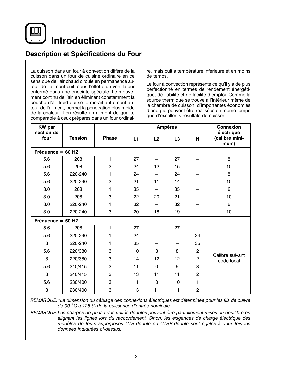**Introduction** 

## Description et Spécifications du Four

La cuisson dans un four à convection diffère de la cuisson dans un four de cuisine ordinaire en ce sens que de l'air chaud circule en permanence autour de l'aliment cuit, sous l'effet d'un ventilateur enfermé dans une enceinte spéciale. Le mouvement continu de l'air, en éliminant constamment la couche d'air froid qui se formerait autrement autour de l'aliment, permet la pénétration plus rapide de la chaleur. Il en résulte un aliment de qualité comparable à ceux préparés dans un four ordinaire, mais cuit à température inférieure et en moins de temps.

Le four à convection représente ce qu'il y a de plus perfectionné en termes de rendement énergétique, de fiabilité et de facilité d'emploi. Comme la source thermique se trouve à l'intérieur même de la chambre de cuisson, d'importantes économies d'énergie peuvent être réalisées en même temps que d'excellents résultats de cuisson.

| <b>KW</b> par<br>section de |                |              | <b>Ampères</b> |             |                | <b>Connexion</b><br>électrique |                               |
|-----------------------------|----------------|--------------|----------------|-------------|----------------|--------------------------------|-------------------------------|
| four                        | <b>Tension</b> | <b>Phase</b> | L1             | L2          | L <sub>3</sub> | N                              | (calibre mini-<br>mum)        |
| Fréquence = $60$ HZ         |                |              |                |             |                |                                |                               |
| 5.6                         | 208            | 1            | 27             | —           | 27             | $\equiv$                       | 8                             |
| 5.6                         | 208            | 3            | 24             | 12          | 15             |                                | 10                            |
| 5.6                         | 220-240        | 1            | 24             |             | 24             |                                | 8                             |
| 5.6                         | 220-240        | 3            | 21             | 11          | 14             |                                | 10                            |
| 8.0                         | 208            | 1            | 35             |             | 35             |                                | 6                             |
| 8.0                         | 208            | 3            | 22             | 20          | 21             |                                | 10                            |
| 8.0                         | 220-240        | 1            | 32             |             | 32             |                                | 6                             |
| 8.0                         | 220-240        | 3            | 20             | 18          | 19             |                                | 10                            |
| Fréquence = $50$ HZ         |                |              |                |             |                |                                |                               |
| 5.6                         | 208            | 1            | 27             |             | 27             |                                |                               |
| 5.6                         | 220-240        | 1            | 24             |             |                | 24                             |                               |
| 8                           | 220-240        | 1            | 35             |             |                | 35                             |                               |
| 5.6                         | 220/380        | 3            | 10             | 8           | 8              | $\overline{2}$                 |                               |
| 8                           | 220/380        | 3            | 14             | 12          | 12             | $\overline{c}$                 | Calibre suivant<br>code local |
| 5.6                         | 240/415        | 3            | 11             | 0           | 9              | 3                              |                               |
| 8                           | 240/415        | 3            | 13             | 11          | 11             | $\overline{c}$                 |                               |
| 5.6                         | 230/400        | 3            | 11             | $\mathbf 0$ | 10             | 1                              |                               |
| 8                           | 230/400        | 3            | 13             | 11          | 11             | $\overline{c}$                 |                               |

REMARQUE: \*La dimension du câblage des connexions électriques est déterminée pour les fils de cuivre de 90 °C à 125 % de la puissance d'entrée nominale.

REMARQUE: Les charges de phase des unités doubles peuvent être partiellement mises en équilibre en alignant les lignes lors du raccordement. Sinon, les exigences de charge électrique des modèles de fours superposés CTB-double ou CTBR-double sont égales à deux fois les données indiquées ci-dessus.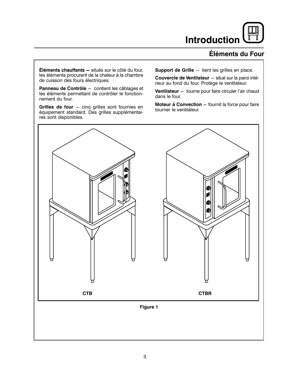## **Introduction**

## Éléments du Four

Éléments chauffants - situés sur le côté du four, les éléments procurent de la chaleur à la chambre de cuisson des fours électriques.

Panneau de Contrôle - contient les câblages et les éléments permettant de contrôler le fonctionnement du four.

Grilles de four  $-$  cinq grilles sont fournies en équipement standard. Des grilles supplémentaires sont disponibles.

Support de Grille - tient les grilles en place.

Couvercle de Ventilateur - situé sur la paroi intérieur au fond du four. Protège le ventilateur.

Ventilateur - tourne pour faire circuler l'air chaud dans le four.

Moteur à Convection - fournit la force pour faire tourner le ventilateur.

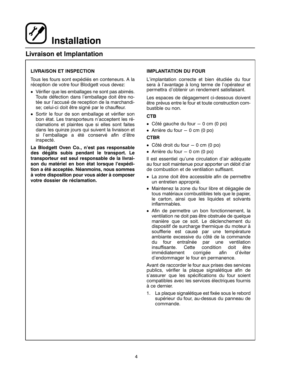## Livraison et Implantation

## **LIVRAISON ET INSPECTION**

Tous les fours sont expédiés en conteneurs. A la réception de votre four Blodgett vous devez:

- Vérifier que les emballages ne sont pas abimés. Toute défection dans l'emballage doit être notée sur l'accusé de reception de la marchandise; celui-ci doit être signé par le chauffeur.
- Sortir le four de son emballage et vérifier son bon état. Les transporteurs n'acceptent les réclamations et plaintes que si elles sont faites dans les quinze jours qui suivent la livraison et si l'emballage a été conservé afin d'être inspecté.

La Blodgett Oven Co., n'est pas responsable des dégâts subis pendant le transport. Le transporteur est seul responsable de la livraison du matériel en bon état lorsque l'expédition a été acceptée. Néanmoins, nous sommes à votre disposition pour vous aider à composer votre dossier de réclamation.

#### **IMPLANTATION DU FOUR**

L'implantation correcte et bien étudiée du four sera à l'avantage à long terme de l'opérateur et permettra d'obtenir un rendement satisfaisant.

Les espaces de dégagement ci-dessous doivent être prévus entre le four et toute construction combustible ou non

#### **CTB**

- Côté gauche du four  $-$  0 cm (0 po)
- Arrière du four  $-$  0 cm (0 po)

#### **CTBR**

- Côté droit du four  $-$  0 cm (0 po)
- Arrière du four  $-$  0 cm (0 po)

Il est essentiel qu'une circulation d'air adéquate au four soit maintenue pour apporter un débit d'air de combustion et de ventilation suffisant.

- La zone doit être accessible afin de permettre un entretien approprié.
- · Maintenez la zone du four libre et dégagée de tous matériaux combustibles tels que le papier, le carton, ainsi que les liquides et solvants inflammables.
- Afin de permettre un bon fonctionnement, la ventilation ne doit pas être obstruée de quelque manière que ce soit. Le déclenchement du dispositif de surcharge thermique du moteur à soufflerie est causé par une température ambiante excessive du côté de la commande du four entraînée par une ventilation insuffisante. Cette condition doit être immédiatement corrigée afin d'éviter d'endommager le four en permanence.

Avant de raccorder le four aux prises des services publics, vérifier la plaque signalétique afin de s'assurer que les spécifications du four soient compatibles avec les services électriques fournis à ce dernier.

1. La plaque signalétique est fixée sous le rebord supérieur du four, au-dessus du panneau de commande.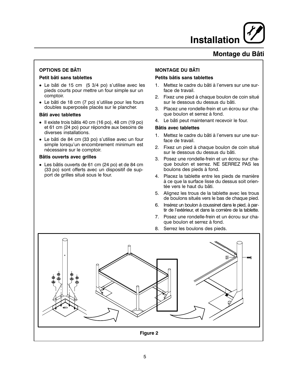## Montage du Bâti

## **OPTIONS DE BÂTI**

#### Petit bâti sans tablettes

- Le bâti de 15 cm (5 3/4 po) s'utilise avec les pieds courts pour mettre un four simple sur un comptoir.
- Le bâti de 18 cm (7 po) s'utilise pour les fours doubles superposés placés sur le plancher.

#### Bâti avec tablettes

- · Il existe trois bâtis 40 cm (16 po), 48 cm (19 po) et 61 cm (24 po) pour répondre aux besoins de diverses installations.
- Le bâti de 84 cm (33 po) s'utilise avec un four simple lorsqu'un encombrement minimum est nécessaire sur le comptoir.

#### **Bâtis ouverts avec grilles**

· Les bâtis ouverts de 61 cm (24 po) et de 84 cm (33 po) sont offerts avec un dispositif de support de grilles situé sous le four.

## **MONTAGE DU BÂTI**

### Petits bâtis sans tablettes

- $1<sup>1</sup>$ Mettez le cadre du bâti à l'envers sur une surface de travail.
- 2. Fixez une pied à chaque boulon de coin situé sur le dessous du dessus du bâti.
- 3. Placez une rondelle-frein et un écrou sur chaque boulon et serrez à fond.
- 4. Le bâti peut maintenant recevoir le four.

### **Bâtis avec tablettes**

- 1. Mettez le cadre du bâti à l'envers sur une surface de travail.
- 2. Fixez un pied à chaque boulon de coin situé sur le dessous du dessus du bâti.
- 3. Posez une rondelle-frein et un écrou sur chaque boulon et serrez. NE SERREZ PAS les boulons des pieds à fond.
- 4. Placez la tablette entre les pieds de manière à ce que la surface lisse du dessus soit orientée vers le haut du bâti.
- 5. Alignez les trous de la tablette avec les trous de boulons situés vers le bas de chaque pied.
- 6. Insérez un boulon à coussinet dans le pied, à partir de l'extérieur, et dans la cornière de la tablette.
- 7. Posez une rondelle-frein et un écrou sur chaque boulon et serrez à fond.
- 8. Serrez les boulons des pieds.

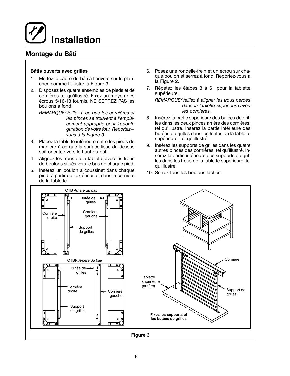## Montage du Bâti

#### Bâtis ouverts avec grilles

- Mettez le cadre du bâti à l'envers sur le plan-1. cher, comme l'illustre la Figure 3.
- $2.$ Disposez les quatre ensembles de pieds et de cornières tel qu'illustré. Fixez au moyen des écrous 5/16-18 fournis. NE SERREZ PAS les boulons à fond.

REMARQUE: Veillez à ce que les cornières et les pinces se trouvent à l'emplacement approprié pour la confiquration de votre four. Reportezvous à la Figure 3.

- 3. Placez la tablette inférieure entre les pieds de manière à ce que la surface lisse du dessus soit orientée vers le haut du bâti.
- 4. Alignez les trous de la tablette avec les trous de boulons situés vers le bas de chaque pied.
- 5. Insérez un boulon à coussinet dans chaque pied, à partir de l'extérieur, et dans la cornière de la tablette.
- 6. Posez une rondelle-frein et un écrou sur chaque boulon et serrez à fond. Reportez-vous à la Figure 2.
- 7. Répétez les étapes 3 à 6 pour la tablette supérieure.

REMARQUE: Veillez à aligner les trous percés dans la tablette supérieure avec les cornières.

- 8. Insérez la partie supérieure des butées de grilles dans les deux pinces arrière des cornières, tel qu'illustré. Insérez la partie inférieure des butées de grilles dans les fentes de la tablette supérieure, tel qu'illustré.
- Insérez les supports de grilles dans les quatre 9. autres pinces des cornières, tel qu'illustré. Insérez la partie inférieure des supports de grilles dans les trous de la tablette supérieure, tel qu'illustré.
- 10. Serrez tous les boulons lâches.

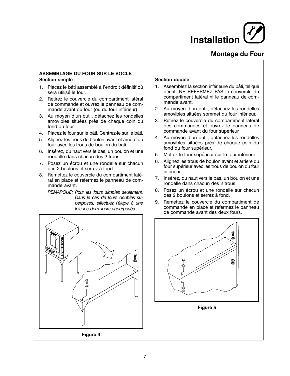## **Montage du Four**

### **ASSEMBLAGE DU FOUR SUR LE SOCLE Section simple**

- 1. Placez le bâti assemblé à l'endroit définitif où sera utilisé le four.
- Retirez le couvercle du compartiment latéral  $2.$ de commande et ouvrez le panneau de commande avant du four (ou du four inférieur).
- 3. Au moyen d'un outil, détachez les rondelles amovibles situées près de chaque coin du fond du four.
- 4. Placez le four sur le bâti. Centrez-le sur le bâti.
- 5. Alignez les trous de boulon avant et arrière du four avec les trous de boulon du bâti.
- 6. Insérez, du haut vers le bas, un boulon et une rondelle dans chacun des 2 trous.
- 7 Posez un écrou et une rondelle sur chacun des 2 boulons et serrez à fond.
- 8. Remettez le couvercle du compartiment latéral en place et refermez le panneau de commande avant.

REMARQUE: Pour les fours simples seulement. Dans le cas de fours doubles superposés, effectuez l'étape 8 une fois les deux fours superposés.



#### **Section double**

- 1. Assemblez la section inférieure du bâti, tel que décrit. NE REFERMEZ PAS le couvercle du compartiment latéral ni le panneau de commande avant.
- 2. Au moyen d'un outil, détachez les rondelles amovibles situées sommet du four inférieur.
- Retirez le couvercle du compartiment latéral  $3.$ des commandes et ouvrez le panneau de commande avant du four supérieur.
- 4. Au moyen d'un outil, détachez les rondelles amovibles situées près de chaque coin du fond du four supérieur.
- 5. Mettez le four supérieur sur le four inférieur.
- 6. Alignez les trous de boulon avant et arrière du four supérieur avec les trous de boulon du four inférieur.
- 7. Insérez, du haut vers le bas, un boulon et une rondelle dans chacun des 2 trous.
- $8<sup>1</sup>$ Posez un écrou et une rondelle sur chacun des 2 boulons et serrez à fond.
- 9. Remettez le couvercle du compartiment de commande en place et refermez le panneau de commande avant des deux fours.

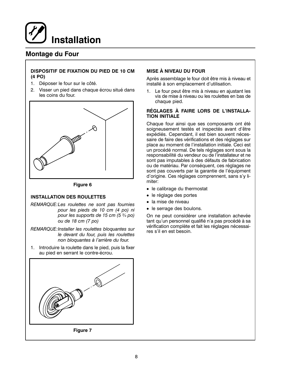

## **Montage du Four**

### DISPOSITIF DE FIXATION DU PIED DE 10 CM  $(4 PQ)$

- 1. Déposer le four sur le côté.
- Visser un pied dans chaque écrou situé dans 2. les coins du four.



Figure 6

#### **INSTALLATION DES ROULETTES**

- REMARQUE:Les roulettes ne sont pas fournies pour les pieds de 10 cm (4 po) ni pour les supports de 15 cm (5 3/4 po) ou de 18 cm (7 po)
- REMARQUE: Installer les roulettes bloquantes sur le devant du four, puis les roulettes non bloquantes à l'arrière du four.
- 1. Introduire la roulette dans le pied, puis la fixer au pied en serrant le contre-écrou.



### **MISE À NIVEAU DU FOUR**

Après assemblage le four doit être mis à niveau et installé à son emplacement d'utilisation.

1. Le four peut être mis à niveau en ajustant les vis de mise à niveau ou les roulettes en bas de chaque pied.

#### RÉGLAGES À FAIRE LORS DE L'INSTALLA-**TION INITIALE**

Chaque four ainsi que ses composants ont été soigneusement testés et inspectés avant d'être expédiés. Cependant, il est bien souvent nécessaire de faire des vérifications et des réglages sur place au moment de l'installation initiale. Ceci est un procédé normal. De tels réglages sont sous la responsabilité du vendeur ou de l'installateur et ne sont pas imputables à des défauts de fabrication ou de matériau. Par conséquent, ces réglages ne sont pas couverts par la garantie de l'équipment d'origine. Ces réglages comprennent, sans s'y limiter:

- le calibrage du thermostat
- · le réglage des portes
- · la mise de niveau
- le serrage des boulons.

On ne peut considérer une installation achevée tant qu'un personnel qualifié n'a pas procédé à sa vérification complète et fait les réglages nécessaires s'il en est besoin.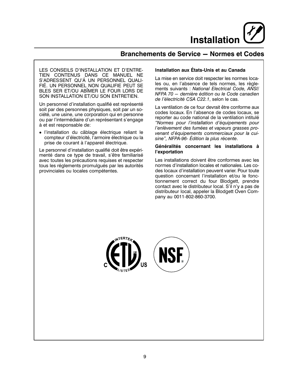## Branchements de Service - Normes et Codes

LES CONSEILS D'INSTALLATION ET D'ENTRE-TIEN CONTENUS DANS CE MANUEL NE S'ADRESSENT QU'Á UN PERSONNEL QUALI-FIÉ. UN PERSONNEL NON QUALIFIE PEUT SE BLES SER ET/OU ABÎMER LE FOUR LORS DE SON INSTALLATION ET/OU SON ENTRETIEN.

Un personnel d'installation qualifié est représenté soit par des personnes physiques, soit par un société, une usine, une corporation qui en personne ou par l'intermédiaire d'un représentant s'engage à et est responsable de:

· l'installation du câblage électrique reliant le compteur d'électricité, l'armoire électrique ou la prise de courant à l'appareil électrique.

Le personnel d'installation qualifié doit être expérimenté dans ce type de travail, s'être familiarisé avec toutes les précautions requises et respecter tous les réglements promulgués par les autorités provinciales ou locales compétentes.

### Installation aux États-Unis et au Canada

La mise en service doit respecter les normes locales ou, en l'absence de tels normes, les règlements suivants : National Electrical Code, ANSI/ NFPA 70 - dernière édition ou le Code canadien de l'électricité CSA C22.1, selon le cas.

La ventilation de ce four devrait être conforme aux codes locaux. En l'absence de codes locaux, se reporter au code national de la ventilation intitulé "Normes pour l'installation d'équipements pour l'enlèvement des fumées et vapeurs grasses provenant d'équipements commerciaux pour la cuisine", NFPA-96- Édition la plus récente.

#### Généralités concernant les installations à l'exportation

Les installations doivent être conformes avec les normes d'installation locales et nationales. Les codes locaux d'installation peuvent varier. Pour toute question concernant l'installation et/ou le fonctionnement correct du four Blodgett, prendre contact avec le distributeur local. S'il n'y a pas de distributeur local, appeler la Blodgett Oven Company au 0011-802-860-3700.

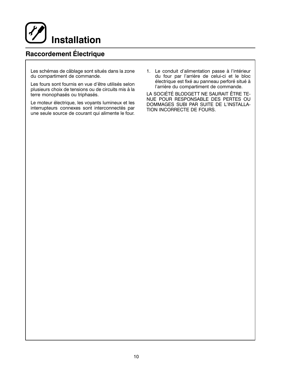

## **Raccordement Électrique**

Les schémas de câblage sont situés dans la zone du compartiment de commande.

Les fours sont fournis en vue d'être utilisés selon plusieurs choix de tensions ou de circuits mis à la terre monophasés ou triphasés.

Le moteur électrique, les voyants lumineux et les interrupteurs connexes sont interconnectés par une seule source de courant qui alimente le four. 1. Le conduit d'alimentation passe à l'intérieur du four par l'arrière de celui-ci et le bloc électrique est fixé au panneau perforé situé à l'arrière du compartiment de commande.

LA SOCIÉTÉ BLODGETT NE SAURAIT ÊTRE TE-NUE POUR RESPONSABLE DES PERTES OU DOMMAGES SUBI PAR SUITE DE L'INSTALLA-TION INCORRECTE DE FOURS.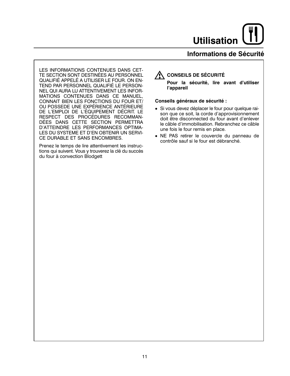## Informations de Sécurité

LES INFORMATIONS CONTENUES DANS CET-TE SECTION SONT DESTINÉES AU PERSONNEL QUALIFIÉ APPELÉ A UTILISER LE FOUR. ON EN-TEND PAR PERSONNEL QUALIFIÉ LE PERSON-NEL QUI AURA LU ATTENTIVEMENT LES INFOR-MATIONS CONTENUES DANS CE MANUEL, CONNAIT BIEN LES FONCTIONS DU FOUR ET/ OU POSSEDE UNE EXPÉRIENCE ANTÉRIEURE DE L'EMPLOI DE L'ÉQUIPEMENT DÉCRIT. LE RESPECT DES PROCÉDURES RECOMMAN-DÉES DANS CETTE SECTION PERMETTRA D'ATTEINDRE LES PERFORMANCES OPTIMA-LES DU SYSTEME ET D'EN OBTENIR UN SERVI-CE DURABLE ET SANS ENCOMBRES.

Prenez le temps de lire attentivement les instructions qui suivent. Vous y trouverez la clé du succès du four à convection Blodgett

## **A CONSEILS DE SÉCURITÉ**

Pour la sécurité, lire avant d'utiliser l'appareil

#### Conseils généraux de sécurité :

- · Si vous devez déplacer le four pour quelque raison que ce soit, la corde d'approvisionnement doit être disconnected du four avant d'enlever le câble d'immobilisation. Rebranchez ce câble une fois le four remis en place.
- · NE PAS retirer le couvercle du panneau de contrôle sauf si le four est débranché.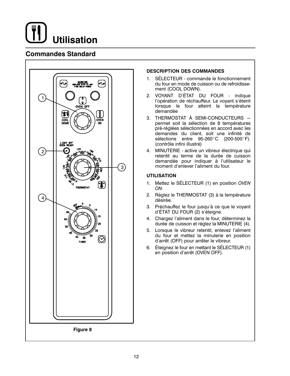

## **Commandes Standard**



### **DESCRIPTION DES COMMANDES**

- 1. SÉLECTEUR commande le fonctionnement du four en mode de cuisson ou de refroidissement (COOL DOWN).
- 2. VOYANT D'ÉTAT DU FOUR indique l'opération de réchauffeur. Le voyant s'éteint lorsque le four atteint la température demandée
- 3. THERMOSTAT À SEMI-CONDUCTEURS permet soit la sélection de 8 températures pré-réglées sélectionnées en accord avec les demandes du client, soit une infinité de sélections entre 95-260°C (200-500°F). (contrôle infini illustré)
- 4. MINUTERIE active un vibreur électrique qui retentit au terme de la durée de cuisson demandée pour indiquer à l'utilisateur le moment d'enlever l'aliment du four.

### **UTILISATION**

- 1. Mettez le SÉLECTEUR (1) en position OVEN ON.
- Réglez le THERMOSTAT (3) à la température  $2.$ désirée.
- 3. Préchauffez le four jusqu'à ce que le voyant d'ÉTAT DU FOUR (2) s'éteigne.
- 4. Chargez l'aliment dans le four, déterminez la durée de cuisson et réglez la MINUTERIE (4).
- 5. Lorsque le vibreur retentit, enlevez l'aliment du four et mettez la minuterie en position d'arrêt (OFF) pour arrêter le vibreur.
- 6. Éteignez le four en mettant le SÉLECTEUR (1) en position d'arrêt (OVEN OFF).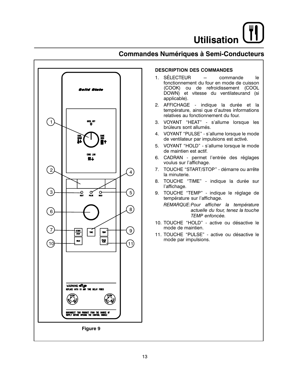



### **DESCRIPTION DES COMMANDES**

- 1. SÉLECTEUR  $\equiv$ commande le fonctionnement du four en mode de cuisson (COOK) ou de refroidissement (COOL DOWN) et vitesse du ventilateurand (si applicable).
- 2. AFFICHAGE indique la durée et la température, ainsi que d'autres informations relatives au fonctionnement du four.
- 3. VOYANT "HEAT" s'allume lorsque les brúleurs sont allumés.
- 4. VOYANT "PULSE" s'allume lorsque le mode de ventilateur par impulsions est activé.
- 5. VOYANT "HOLD" s'allume lorsque le mode de maintien est actif.
- 6. CADRAN permet l'entrée des réglages voulus sur l'affichage.
- 7. TOUCHE "START/STOP" démarre ou arrête la minuterie.
- 8. TOUCHE "TIME" indique la durée sur l'affichage.
- 9. TOUCHE "TEMP" indique le réglage de température sur l'affichage.

REMARQUE: Pour afficher la température actuelle du four, tenez la touche TEMP enfoncée.

- 10. TOUCHE "HOLD" active ou désactive le mode de maintien.
- 11. TOUCHE "PULSE" active ou désactive le mode par impulsions.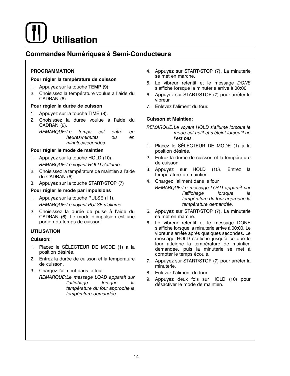## **Commandes Numériques à Semi-Conducteurs**

## **PROGRAMMATION**

### Pour régler la température de cuisson

- 1. Appuyez sur la touche TEMP (9).
- 2. Choisissez la température voulue à l'aide du CADRAN (6).

### Pour régler la durée de cuisson

- 1. Appuyez sur la touche TIME (8).
- 2. Choisissez la durée voulue à l'aide du CADRAN (6).

| REMARQUE:Le temps est entré |                   |     | en  |
|-----------------------------|-------------------|-----|-----|
|                             | heures/minutes    | ΩIJ | en. |
|                             | minutes/secondes. |     |     |

## Pour régler le mode de maintien

- 1. Appuyez sur la touche HOLD (10). REMARQUE: Le voyant HOLD s'allume.
- 2. Choisissez la température de maintien à l'aide du CADRAN (6).
- 3. Appuyez sur la touche START/STOP (7)

## Pour régler le mode par impulsions

- 1. Appuyez sur la touche PULSE (11). REMARQUE: Le voyant PULSE s'allume.
- 2. Choisissez la durée de pulse à l'aide du CADRAN (6). Le mode d'impulsion est une portion du temps de cuisson.

## **UTILISATION**

## Cuisson:

- 1. Placez le SÉLECTEUR DE MODE (1) à la position désirée.
- 2. Entrez la durée de cuisson et la température de cuisson.
- 3. Chargez l'aliment dans le four. REMARQUE:Le message LOAD apparaît sur *l'affichage* lorsque la température du four approche la température demandée.
- 4. Appuyez sur START/STOP (7). La minuterie se met en marche.
- 5. Le vibreur retentit et le message DONE s'affiche lorsque la minuterie arrive à 00:00.
- 6. Appuyez sur START/STOP (7) pour arrêter le vibreur.
- 7. Enlevez l'aliment du four.

### **Cuisson et Maintien:**

- REMARQUE:Le voyant HOLD s'allume lorsque le mode est actif et s'éteint lorsqu'il ne l'est pas.
- 1. Placez le SÉLECTEUR DE MODE (1) à la position désirée.
- 2. Entrez la durée de cuisson et la température de cuisson.
- 3. Appuyez sur HOLD (10). Entrez la température de maintien.
- 4. Chargez l'aliment dans le four. REMARQUE:Le message LOAD apparaît sur l'affichage lorsque
	- la température du four approche la température demandée.
- 5. Appuyez sur START/STOP (7). La minuterie se met en marche.
- 6. Le vibreur retentit et le message DONE s'affiche lorsque la minuterie arrive à 00:00. Le vibreur s'arrête après quelques secondes. Le message HOLD s'affiche jusqu'à ce que le four atteigne la température de maintien demandée, puis la minuterie se met à compter le temps écoulé.
- 7. Appuyez sur START/STOP (7) pour arrêter la minuterie.
- 8. Enlevez l'aliment du four.
- 9. Appuyez deux fois sur HOLD (10) pour désactiver le mode de maintien.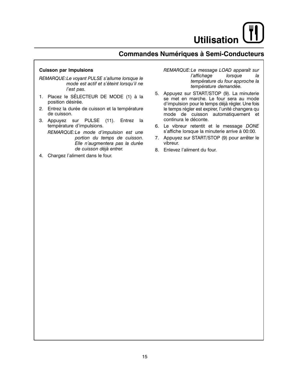## **Commandes Numériques à Semi-Conducteurs**

#### **Cuisson par Impulsions**

REMARQUE: Le voyant PULSE s'allume lorsque le mode est actif et s'éteint lorsqu'il ne l'est pas.

- 1. Placez le SÉLECTEUR DE MODE (1) à la position désirée.
- 2. Entrez la durée de cuisson et la température de cuisson.
- 3. Appuyez sur PULSE (11). Entrez la température d'impulsions.

REMARQUE:Le mode d'impulsion est une portion du temps de cuisson. Elle n'augmentera pas la durée de cuisson déjà entrer.

4. Chargez l'aliment dans le four.

REMARQUE:Le message LOAD apparaît sur l'affichage lorsque la température du four approche la température demandée.

- 5. Appuyez sur START/STOP (9). La minuterie se met en marche. Le four sera au mode d'impulsion pour le temps déjà régler. Une fois le temps régler est expirer, l'unité changera qu mode de cuisson automatiquement et continura le déconte.
- 6. Le vibreur retentit et le message DONE s'affiche lorsque la minuterie arrive à 00:00.
- 7. Appuyez sur START/STOP (9) pour arrêter le vibreur.
- 8. Enlevez l'aliment du four.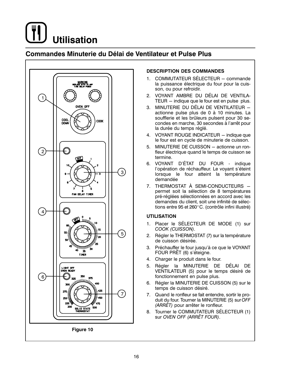

## Commandes Minuterie du Délai de Ventilateur et Pulse Plus



### **DESCRIPTION DES COMMANDES**

- 1. COMMUTATEUR SÉLECTEUR commande la puissance électrique du four pour la cuisson, ou pour refroidir.
- 2. VOYANT AMBRE DU DÉLAI DE VENTILA-TEUR - indique que le four est en pulse plus.
- 3. MINUTERIE DU DÉLAI DE VENTILATEUR actionne pulse plus de 0 à 10 minutes. La soufflerie et les brûleurs pulsent pour 30 secondes en marche, 30 secondes à l'arrêt pour la durée du temps réglé.
- 4. VOYANT ROUGE INDICATEUR indique que le four est en cycle de minuterie de cuisson.
- 5. MINUTERIE DE CUISSON actionne un ronfleur électrique quand le temps de cuisson se termine.
- 6. VOYANT D'ÉTAT DU FOUR indique l'opération de réchauffeur. Le voyant s'éteint lorsque le four atteint la température demandée
- 7. THERMOSTAT À SEMI-CONDUCTEURS permet soit la sélection de 8 températures pré-réglées sélectionnées en accord avec les demandes du client, soit une infinité de sélections entre 95 et 260°C. (contrôle infini illustré)

#### **UTILISATION**

- 1. Placer le SÉLECTEUR DE MODE (1) sur COOK (CUISSON).
- 2. Régler le THERMOSTAT (7) sur la température de cuisson désirée.
- 3. Préchauffer le four jusqu'à ce que le VOYANT FOUR PRÊT (6) s'éteigne.
- 4. Charger le produit dans le four.
- 5. Régler la MINUTERIE DE DÉLAI DE VENTILATEUR (5) pour le temps désiré de fonctionnement en pulse plus.
- 6. Régler la MINUTERIE DE CUISSON (5) sur le temps de cuisson désiré.
- 7. Quand le ronfleur se fait entendre, sortir le produit du four. Tourner la MINUTERIE (5) sur OFF (ARRÊT) pour arrêter le ronfleur.
- 8. Tourner le COMMUTATEUR SÉLECTEUR (1) sur OVEN OFF (ARRÊT FOUR).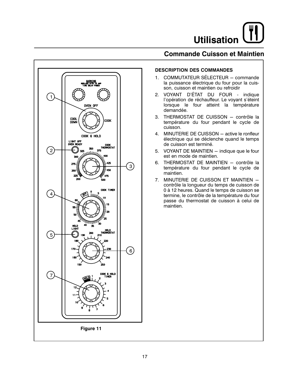## **Commande Cuisson et Maintien**

![](_page_54_Figure_2.jpeg)

### **DESCRIPTION DES COMMANDES**

- 1. COMMUTATEUR SÉLECTEUR commande la puissance électrique du four pour la cuisson, cuisson et maintien ou refroidir
- 2. VOYANT D'ÉTAT DU FOUR indique l'opération de réchauffeur. Le voyant s'éteint lorsque le four atteint la température demandée.
- 3. THERMOSTAT DE CUISSON contrôle la température du four pendant le cycle de cuisson.
- 4. MINUTERIE DE CUISSON active le ronfleur électrique qui se déclenche quand le temps de cuisson est terminé.
- 5. VOYANT DE MAINTIEN indique que le four est en mode de maintien.
- 6. THERMOSTAT DE MAINTIEN contrôle la température du four pendant le cycle de maintien.
- 7. MINUTERIE DE CUISSON ET MAINTIEN contrôle la longueur du temps de cuisson de 0 à 12 heures. Quand le temps de cuisson se termine, le contrôle de la température du four passe du thermostat de cuisson à celui de maintien.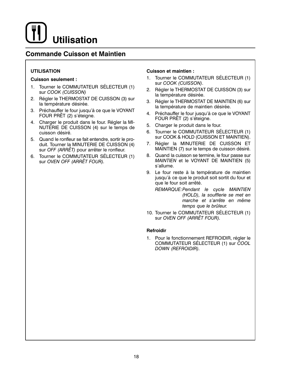## **Commande Cuisson et Maintien**

## **UTILISATION**

#### **Cuisson seulement:**

- 1. Tourner le COMMUTATEUR SÉLECTEUR (1) sur COOK (CUISSON)
- Régler le THERMOSTAT DE CUISSON (3) sur  $2.$ la température désirée.
- Préchauffer le four jusqu'à ce que le VOYANT 3. FOUR PRÊT (2) s'éteigne.
- 4. Charger le produit dans le four. Régler la MI-NUTERIE DE CUISSON (4) sur le temps de cuisson désiré.
- 5. Quand le ronfleur se fait entendre, sortir le produit. Tourner la MINUTERIE DE CUISSON (4) sur OFF (ARRÊT) pour arrêter le ronfleur.
- 6. Tourner le COMMUTATEUR SÉLECTEUR (1) sur OVEN OFF (ARRÊT FOUR).

### **Cuisson et maintien:**

- 1. Tourner le COMMUTATEUR SÉLECTEUR (1) sur COOK (CUISSON).
- Régler le THERMOSTAT DE CUISSON (3) sur 2. la température désirée.
- 3. Régler le THERMOSTAT DE MAINTIEN (6) sur la température de maintien désirée.
- 4. Préchauffer le four jusqu'à ce que le VOYANT FOUR PRÊT (2) s'éteigne.
- 5. Charger le produit dans le four.
- 6. Tourner le COMMUTATEUR SÉLECTEUR (1) sur COOK & HOLD (CUISSON ET MAINTIEN).
- 7. Régler la MINUTERIE DE CUISSON ET MAINTIEN (7) sur le temps de cuisson désiré.
- Quand la cuisson se termine. le four passe sur 8. MAINTIEN et le VOYANT DE MAINTIEN (5) s'allume
- 9. Le four reste à la température de maintien jusqu'à ce que le produit soit sortit du four et que le four soit arrêté.

REMARQUE: Pendant le cycle MAINTIEN (HOLD), la soufflerie se met en marche et s'arrête en même temps que le brûleur.

10. Tourner le COMMUTATEUR SÉLECTEUR (1) sur OVEN OFF (ARRET FOUR).

#### Refroidir

1. Pour le fonctionnement REFROIDIR, régler le COMMUTATEUR SÉLECTEUR (1) sur COOL DOWN (REFROIDIR).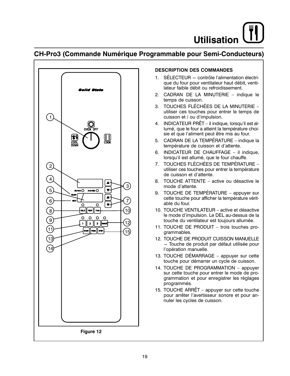## CH-Pro3 (Commande Numérique Programmable pour Semi-Conducteurs)

![](_page_56_Figure_2.jpeg)

## **DESCRIPTION DES COMMANDES**

- $1.$ SÉLECTEUR - contrôle l'alimentation électrique du four pour ventilateur haut débit, ventilateur faible débit ou refroidissement.
- 2. CADRAN DE LA MINUTERIE indique le temps de cuisson.
- 3. TOUCHES FLÉCHÉES DE LA MINUTERIE utiliser ces touches pour entrer le temps de cuisson et / ou d'impulsion.
- 4. INDICATEUR PRÊT il indique, lorsqu'il est allumé, que le four a atteint la température choisie et que l'aliment peut être mis au four.
- 5. CADRAN DE LA TEMPÉRATURE indique la température de cuisson et d'attente.
- 6. INDICATEUR DE CHAUFFAGE il indique, lorsqu'il est allumé, que le four chauffe.
- TOUCHES FLÉCHÉES DE TEMPÉRATURE -7. utiliser ces touches pour entrer la température de cuisson et d'attente.
- 8. TOUCHE ATTENTE active ou désactive le mode d'attente.
- 9. TOUCHE DE TEMPÉRATURE appuyer sur cette touche pour afficher la température véritable du four.
- 10. TOUCHE VENTILATEUR active et désactive le mode d'impulsion. Le DEL au-dessus de la touche du ventilateur est toujours allumée.
- 11. TOUCHE DE PRODUIT trois touches programmables.
- 12. TOUCHE DE PRODUIT CUISSON MANUELLE - Touche de produit par défaut utilisée pour l'opération manuelle.
- 13. TOUCHE DÉMARRAGE appuyer sur cette touche pour démarrer un cycle de cuisson.
- 14. TOUCHE DE PROGRAMMATION appuyer sur cette touche pour entrer le mode de programmation et pour enregistrer les réglages programmés.
- 15. TOUCHE ARRÊT appuyer sur cette touche pour arrêter l'avertisseur sonore et pour annuler les cycles de cuisson.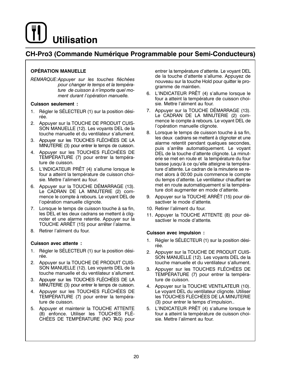## **CH-Pro3 (Commande Numérique Programmable pour Semi-Conducteurs)**

## **OPÉRATION MANUELLE**

REMARQUE: Appuyer sur les touches fléchées pour changer le temps et la température de cuisson à n'importe quel moment durant l'opération manuelle.

### **Cuisson seulement:**

- 1. Régler le SÉLECTEUR (1) sur la position désirée.
- 2. Appuyer sur la TOUCHE DE PRODUIT CUIS-SON MANUELLE (12). Les voyants DEL de la touche manuelle et du ventilateur s'allument.
- 3. Appuyer sur les TOUCHES FLÉCHÉES DE LA MINUTERIE (3) pour entrer le temps de cuisson.
- 4. Appuyer sur les TOUCHES FLÉCHÉES DE TEMPÉRATURE (7) pour entrer la température de cuisson.
- 5. L'INDICATEUR PRÊT (4) s'allume lorsque le four a atteint la température de cuisson choisie. Mettre l'aliment au four.
- 6. Appuyer sur la TOUCHE DÉMARRAGE (13). Le CADRAN DE LA MINUTERIE (2) commence le compte à rebours. Le voyant DEL de l'opération manuelle clignote.
- 7. Lorsque le temps de cuisson touche à sa fin, les DEL et les deux cadrans se mettent à clignoter et une alarme retentie. Appuyer sur la TOUCHE ARRÊT (15) pour arrêter l'alarme.
- 8. Retirer l'aliment du four.

## **Cuisson avec attente:**

- $1.$ Régler le SÉLECTEUR (1) sur la position désirée.
- 2. Appuyer sur la TOUCHE DE PRODUIT CUIS-SON MANUELLE (12). Les voyants DEL de la touche manuelle et du ventilateur s'allument.
- 3. Appuyer sur les TOUCHES FLÉCHÉES DE LA MINUTERIE (3) pour entrer le temps de cuisson.
- 4. Appuyer sur les TOUCHES FLÉCHÉES DE TEMPÉRATURE (7) pour entrer la température de cuisson.
- 5. Appuver et maintenir la TOUCHE ATTENTE (8) enfonce. Utiliser les TOUCHES FLÉ-CHÉES DE TEMPÉRATURE (NO TAG) pour

entrer la température d'attente. Le voyant DEL de la touche d'attente s'allume. Appuyez de nouveau sur la touche Hold pour quitter le programme de maintien.

- 6. L'INDICATEUR PRÊT (4) s'allume lorsque le four a atteint la température de cuisson choisie. Mettre l'aliment au four.
- 7. Appuver sur la TOUCHE DÉMARRAGE (13). Le CADRAN DE LA MINUTERIE (2) commence le compte à rebours. Le voyant DEL de l'opération manuelle clignote.
- 8. Lorsque le temps de cuisson touche à sa fin, les deux cadrans se mettent à clignoter et une alarme retentit pendant quelques secondes, puis s'arrête automatiquement. Le voyant DEL de la touche d'attente clignote. La minuterie se met en route et la température du four baisse jusqu'à ce qu'elle atteigne la température d'attente. Le cadran de la minuterie se remet alors à 00:00 puis commence le compte du temps d'attente. Le ventilateur chauffant se met en route automatiquement si la température doit augmenter en mode d'attente.
- 9. Appuver sur la TOUCHE ARRÊT (15) pour désactiver le mode d'attente.
- 10. Retirer l'aliment du four.
- 11. Appuyer la TOUCHE ATTENTE (8) pour désactiver le mode d'attente.

#### Cuisson avec impulsion :

- Régler le SÉLECTEUR (1) sur la position dési- $1.$ rée
- 2. Appuyer sur la TOUCHE DE PRODUIT CUIS-SON MANUELLE (12). Les voyants DEL de la touche manuelle et du ventilateur s'allument.
- 3. Appuyer sur les TOUCHES FLÉCHÉES DE TEMPÉRATURE (7) pour entrer la température de cuisson.
- 4. Appuyer sur la TOUCHE VENTILATEUR (10). Le voyant DEL du ventilateur clignote. Utiliser les TOUCHES FLÉCHÉES DE LA MINUTERIE (3) pour entrer le temps d'impulsion..
- 5. L'INDICATEUR PRÊT (4) s'allume lorsque le four a atteint la température de cuisson choisie. Mettre l'aliment au four.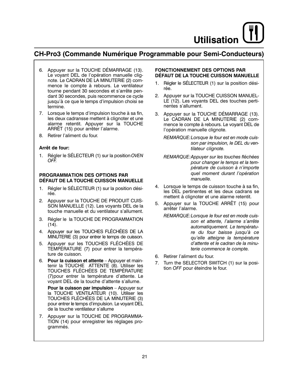## **CH-Pro3 (Commande Numérique Programmable pour Semi-Conducteurs)**

- 6. Appuyer sur la TOUCHE DÉMARRAGE (13). Le voyant DEL de l'opération manuelle clignote. Le CADRAN DE LA MINUTERIE (2) commence le compte à rebours. Le ventilateur tourne pendant 30 secondes et s'arrête pendant 30 secondes, puis recommence ce cycle jusqu'à ce que le temps d'impulsion choisi se termine.
- 7. Lorsque le temps d'impulsion touche à sa fin, les deux cadransse mettent à clignoter et une alarme retentit. Appuyer sur la TOUCHE ARRET (15) pour arrêter l'alarme.
- 8. Retirer l'aliment du four.

### Arrêt de four:

1. Régler le SÉLECTEUR (1) sur la position OVEN OFF.

#### PROGRAMMATION DES OPTIONS PAR DÉFAUT DE LA TOUCHE CUISSON MANUELLE

- $1.$ Régler le SÉLECTEUR (1) sur la position désirée.
- 2. Appuyer sur la TOUCHE DE PRODUIT CUIS-SON MANUELLE (12). Les voyants DEL de la touche manuelle et du ventilateur s'allument.
- 3. Régler le la TOUCHE DE PROGRAMMATION  $(14).$
- 4. Appuyer sur les TOUCHES FLÉCHÉES DE LA MINUTERIE (3) pour entrer le temps de cuisson.
- 5. Appuyer sur les TOUCHES FLÉCHÉES DE TEMPÉRATURE (7) pour entrer la température de cuisson.
- 6. Pour la cuisson et attente Appuyer et maintenir la TOUCHE ATTENTE (8). Utiliser les TOUCHES FLÉCHÉES DE TEMPÉRATURE (7) pour entrer la température d'attente. Le voyant DEL de la touche d'attente s'allume.

Pour la cuisson par impulsion - Appuver sur la TOUCHE VENTILATEUR (10). Utiliser les TOUCHES FLÉCHÉES DE LA MINUTERIE (3) pour entrer le temps d'impulsion. Le voyant DEL de la touche ventilateur s'allume

7. Appuyer sur la TOUCHE DE PROGRAMMA-TION (14) pour enregistrer les réglages programmés.

#### **FONCTIONNEMENT DES OPTIONS PAR** DÉFAUT DE LA TOUCHE CUISSON MANUELLE

- 1. Régler le SÉLECTEUR (1) sur la position désirée.
- 2. Appuyer sur la TOUCHE CUISSON MANUEL-LE (12). Les voyants DEL des touches pertinentes s'allument.
- 3. Appuyer sur la TOUCHE DÉMARRAGE (13). Le CADRAN DE LA MINUTERIE (2) commence le compte à rebours. Le voyant DEL de l'opération manuelle clignote.
	- REMARQUE: Lorsque le four est en mode cuisson par impulsion, le DEL du ventilateur clignote.
	- REMARQUE: Appuyer sur les touches fléchées pour changer le temps et la température de cuisson à n'importe quel moment durant l'opération manuelle.
- 4. Lorsque le temps de cuisson touche à sa fin, les DEL pertinentes et les deux cadrans se mettent à clignoter et une alarme retentit.
- 5. Appuyer sur la TOUCHE ARRÊT (15) pour arrêter l'alarme.
	- REMARQUE: Lorsque le four est en mode cuisson et attente, l'alarme s'arrête automatiquement. Le température du four baisse jusqu'à ce qu'elle atteigne la température d'attente et le cadran de la minuterie commence le compte.
- 6. Retirer l'aliment du four.
- 7. Turn the SELECTOR SWITCH (1) sur la position OFF pour éteindre le four.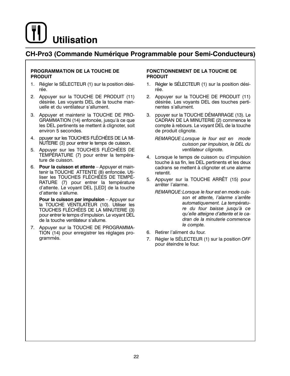## CH-Pro3 (Commande Numérique Programmable pour Semi-Conducteurs)

### PROGRAMMATION DE LA TOUCHE DE **PRODUIT**

- 1. Régler le SÉLECTEUR (1) sur la position désirée.
- 2. Appuyer sur la TOUCHE DE PRODUIT (11) désirée. Les voyants DEL de la touche manuelle et du ventilateur s'allument.
- 3. Appuyer et maintenir la TOUCHE DE PRO-GRAMMATION (14) enfoncée, jusqu'à ce que les DEL pertinents se mettent à clignoter, soit environ 5 secondes.
- 4. ppuyer sur les TOUCHES FLÉCHÉES DE LA MI-NUTERIE (3) pour entrer le temps de cuisson.
- 5. Appuyer sur les TOUCHES FLÉCHÉES DE TEMPÉRATURE (7) pour entrer la température de cuisson.
- 6. Pour la cuisson et attente Appuver et maintenir la TOUCHE ATTENTE (8) enfoncée. Utiliser les TOUCHES FLÉCHÉES DE TEMPÉ-RATURE (7) pour entrer la température d'attente. Le voyant DEL [LED] de la touche d'attente s'allume.

Pour la cuisson par impulsion - Appuyer sur la TOUCHE VENTILATEUR (10). Utiliser les TOUCHES FLÉCHÉES DE LA MÍNUTERIE (3) pour entrer le temps d'impulsion. Le voyant DEL de la touche ventilateur s'allume.

7. Appuyer sur la TOUCHE DE PROGRAMMA-TION (14) pour enregistrer les réglages programmés.

#### **FONCTIONNEMENT DE LA TOUCHE DE PRODUIT**

- 1. Régler le SÉLECTEUR (1) sur la position désirée.
- 2. Appuyer sur la TOUCHE DE PRODUIT (11) désirée. Les voyants DEL des touches pertinentes s'allument.
- ppuyer sur la TOUCHE DÉMARRAGE (13). Le 3. CADRAN DE LA MINUTERIE (2) commence le compte à rebours. Le voyant DEL de la touche de produit clignote.

REMARQUE:Lorsque le four est en mode cuisson par impulsion, le DEL du ventilateur clignote.

- 4. Lorsque le temps de cuisson ou d'impulsion touche à sa fin, les DEL pertinents et les deux cadrans se mettent à clignoter et une alarme retentit.
- 5. Appuyer sur la TOUCHE ARRÊT (15) pour arrêter l'alarme.
	- REMARQUE: Lorsque le four est en mode cuisson et attente, l'alarme s'arrête automatiquement. La température du four baisse jusqu'à ce qu'elle atteigne d'attente et le cadran de la minuterie commence le compte.
- 6. Retirer l'aliment du four.
- 7. Régler le SÉLECTEUR (1) sur la position OFF pour éteindre le four.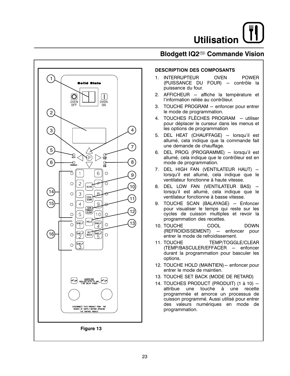## Blodgett IQ2<sup>®</sup> Commande Vision

![](_page_60_Figure_2.jpeg)

### **DESCRIPTION DES COMPOSANTS**

- 1. INTERRUPTEUR **OVEN POWER** (PUISSANCE DU FOUR) - contrôle la puissance du four.
- 2. AFFICHEUR affiche la température et l'information reliée au contrôleur.
- 3. TOUCHE PROGRAM enfoncer pour entrer le mode de programmation.
- 4. TOUCHES FLÈCHES PROGRAM utiliser pour déplacer le curseur dans les menus et les options de programmation
- DEL HEAT (CHAUFFAGE) lorsqu'il est 5. allumé, cela indique que la commande fait une demande de chauffage.
- 6. DEL PROG (PROGRAMME) lorsqu'il est allumé, cela indique que le contrôleur est en mode de programmation.
- 7. DEL HIGH FAN (VENTILATEUR HAUT) lorsqu'il est allumé, cela indique que le ventilateur fonctionne à haute vitesse.
- 8. DEL LOW FAN (VENTILATEUR BAS) lorsqu'il est allumé, cela indique que le ventilateur fonctionne à basse vitesse.
- 9. TOUCHE SCAN (BALAYAGE) Enfoncer pour visualiser le temps qui reste sur les cycles de cuisson multiples et revoir la programmation des recettes.
- 10. TOUCHE **COOL DOWN** (REFROIDISSEMENT) - enfoncer pour entrer le mode de refroidissement.
- 11. TOUCHE TEMP/TOGGLE/CLEAR (TEMP/BASCULER/EFFACER - enfoncer durant la programmation pour basculer les options.
- 12. TOUCHE HOLD (MAINTIEN)- enfoncer pour entrer le mode de maintien.
- 13. TOUCHE SET BACK (MODE DE RETARD)
- 14. TOUCHES PRODUCT (PRODUIT) (1 à 10) attribue une touche à une recette programmée et amorce un processus de cuisson programmé. Aussi utilisé pour entrer des valeurs numériques en mode de programmation.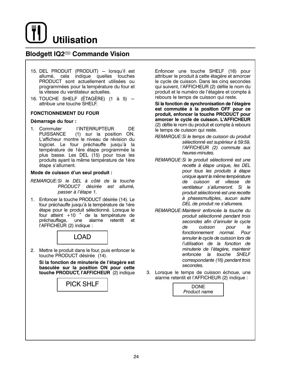![](_page_61_Picture_0.jpeg)

## **Blodgett IQ2<sup>®</sup> Commande Vision**

- 15. DEL PRODUIT (PRODUIT) lorsqu'il est allumé, cela indique quelles touches PRODUCT sont actuellement utilisées ou programmées pour la température du four et la vitesse du ventilateur actuelles.
- 16. TOUCHE SHELF (ÉTAGÈRE) (1 à 5)  $$ attribue une touche SHELF.

#### **FONCTIONNEMENT DU FOUR**

#### Démarrage du four :

1. Commuter **I'INTERRUPTEUR DE PUISSANCE** (1) sur la position ON. L'afficheur montre le niveau de révision du logiciel. Le four préchauffe jusqu'à la température de 1ère étape programmée la plus basse. Les DEL (15) pour tous les produits avant la même température de 1ère étape s'allument.

#### Mode de cuisson d'un seul produit :

- REMARQUE: Si le DEL à côté de la touche PRODUCT désirée est allumé. passer à l'étape 1.
- 1. Enfoncer la touche PRODUCT désirée (14). Le four préchauffe jusqu'à la température de 1ère étape pour le produit sélectionné. Lorsque le four atteint +10 ° de la température de préchauffage. une alarme retentit et l'AFFICHEUR (2) indique :

![](_page_61_Picture_10.jpeg)

2. Mettre le produit dans le four, puis enfoncer le touche PRODUCT désirée (14).

Si la fonction de minuterie de l'étagère est basculée sur la position ON pour cette touche PRODUCT, l'AFFICHEUR (2) indique

**PICK SHLF** 

Enfoncer une touche SHELF (16) pour attribuer le produit à cette étagère et amorcer le cycle de cuisson. Dans les cinq secondes qui suivent, l'AFFICHEUR (2) défile le nom du produit et le numéro de l'étagère et compte à rebours le temps de cuisson qui reste.

Si la fonction de synchronisation de l'étagère est commutée à la position OFF pour ce produit, enfoncer la touche PRODUCT pour amorcer le cycle de cuisson. L'AFFICHEUR (2) défile le nom du produit et compte à rebours le temps de cuisson qui reste.

- REMARQUE: Si le temps de cuisson du produit sélectionné est supérieur à 59:59, l'AFFICHEUR (2) commute aux heures-minutes.
- REMARQUE: Si le produit sélectionné est une recette à étape unique. les DEL pour tous les produits à étape unique ayant la même température de cuisson et vitesse de ventilateur s'allumeront. Si le produit sélectionné est une recette à phasesmultiples, aucun autre DEL de produit ne s'allumera.
- REMARQUE: Maintenir enfoncée la touche du produit sélectionné pendant trois secondes afin d'annuler le cycle pour de cuisson le fonctionnement normal. Pour annuler le cycle de cuisson lors de l'utilisation de la fonction de minuterie de l'étagère, maintenir enfoncée la touche **SHELF** correspondante (16) pendant trois secondes.
- 3. Lorsque le temps de cuisson échoue, une alarme retentit et l'AFFICHEUR (2) indique :

![](_page_61_Picture_20.jpeg)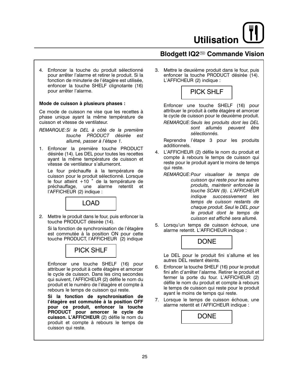## Blodgett IQ2<sup>®</sup> Commande Vision

4. Enfoncer la touche du produit sélectionné pour arrêter l'alarme et retirer le produit. Si la fonction de minuterie de l'étagère est utilisée, enfoncer la touche SHELF clignotante (16) pour arrêter l'alarme.

#### Mode de cuisson à plusieurs phases :

Ce mode de cuisson ne vise que les recettes à phase unique ayant la même température de cuisson et vitesse de ventilateur.

REMARQUE: Si le DEL à côté de la première touche PRODUCT désirée est allumé, passer à l'étape 1.

1. Enfoncer la première touche PRODUCT désirée (14). Les DEL pour toutes les recettes ayant la même température de cuisson et vitesse de ventilateur s'allumeront.

Le four préchauffe à la température de cuisson pour le produit sélectionné. Lorsque le four atteint +10 ° de la température de préchauffage, une alarme retentit et l'AFFICHEUR (2) indique :

LOAD

2. Mettre le produit dans le four, puis enfoncer la touche PRODUCT désirée (14).

Si la fonction de synchronisation de l'étagère est commutée à la position ON pour cette touche PRODUCT, l'AFFICHEUR (2) indique

## **PICK SHLF**

Enfoncer une touche SHELF (16) pour attribuer le produit à cette étagère et amorcer le cycle de cuisson. Dans les cinq secondes qui suivent, l'AFFICHEUR (2) défile le nom du produit et le numéro de l'étagère et compte à rebours le temps de cuisson qui reste.

Si la fonction de synchronisation de l'étagère est commutée à la position OFF pour ce produit, enfoncer la touche PRODUCT pour amorcer le cycle de cuisson. L'AFFICHEUR (2) défile le nom du produit et compte à rebours le temps de cuisson qui reste.

3. Mettre le deuxième produit dans le four, puis enfoncer la touche PRODUCT désirée (14). L'AFFICHEUR (2) indique :

![](_page_62_Picture_15.jpeg)

Enfoncer une touche SHELF (16) pour attribuer le produit à cette étagère et amorcer le cycle de cuisson pour le deuxième produit.

REMARQUE: Seuls les produits dont les DEL sont allumés peuvent être sélectionnés.

Reprendre l'étape 3 pour les produits additionnels.

- 4. L'AFFICHEUR (2) défile le nom du produit et compte à rebours le temps de cuisson qui reste pour le produit ayant le moins de temps qui reste.
	- REMARQUE: Pour visualiser le temps de cuisson qui reste pour les autres produits, maintenir enfoncée la touche SCAN (9). L'AFFICHEUR indique successivement les temps de cuisson restants de chaque produit. Seul le DEL pour le produit dont le temps de cuisson est affiché sera allumé.
- 5. Lorsqu'un temps de cuisson échoue, une alarme retentit. L'AFFICHEUR indique :

![](_page_62_Picture_22.jpeg)

Le DEL pour le produit fini s'allume et les autres DEL restent éteints.

- 6. Enfoncer la touche SHELF (16) pour le produit fini afin d'arrêter l'alarme. Retirer le produit et fermer la porte du four. L'AFFICHEUR (2) défile le nom du produit et compte à rebours le temps de cuisson qui reste pour le produit ayant le moins de temps qui reste.
- 7. Lorsque le temps de cuisson échoue, une alarme retentit et l'AFFICHEUR indique :

![](_page_62_Picture_26.jpeg)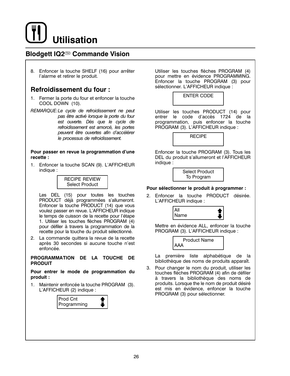![](_page_63_Picture_0.jpeg)

## **Blodgett IQ2<sup>®</sup> Commande Vision**

8. Enfoncer la touche SHELF (16) pour arrêter l'alarme et retirer le produit.

## **Refroidissement du four:**

- 1. Fermer la porte du four et enfoncer la touche COOL DOWN (10).
- REMARQUE:Le cycle de refroidissement ne peut pas être activé lorsque la porte du four est ouverte. Dès que le cycle de refroidissement est amorcé, les portes peuvent être ouvertes afin d'accélérer le processus de refroidissement.

#### Pour passer en revue la programmation d'une recette :

1. Enfoncer la touche SCAN (9). L'AFFICHEUR indique :

> **RECIPE REVIEW** Select Product

Les DEL (15) pour toutes les touches PRODUCT déjà programmées s'allumeront. Enfoncer la touche PRODUCT (14) que vous voulez passer en revue. L'AFFICHEUR indique le temps de cuisson de la recette pour l'étape 1. Utiliser les touches flèches PROGRAM (4) pour défiler à travers la programmation de la recette pour la touche du produit sélectionné.

2. La commande quittera la revue de la recette après 30 secondes si aucune touche n'est enfoncée.

PROGRAMMATION DE LA TOUCHE DE **PRODUIT** 

Pour entrer le mode de programmation du produit :

1. Maintenir enfoncée la touche PROGRAM (3). L'AFFICHEUR (2) indique :

![](_page_63_Picture_14.jpeg)

Utiliser les touches flèches PROGRAM (4) pour mettre en évidence PROGRAMMING. Enfoncer la touche PROGRAM (3) pour sélectionner. L'AFFICHEUR indique :

![](_page_63_Picture_16.jpeg)

Utiliser les touches PRODUCT (14) pour entrer le code d'accès 1724 de la programmation, puis enfoncer la touche PROGRAM (3). L'AFFICHEUR indique :

**RECIPE** 

Enfoncer la touche PROGRAM (3). Tous les DEL du produit s'allumeront et l'AFFICHEUR indique :

> **Select Product** To Program

#### Pour sélectionner le produit à programmer :

2. Enfoncer la touche PRODUCT désirée. L'AFFICHEUR indique :

![](_page_63_Picture_23.jpeg)

Mettre en évidence ALL, enfoncer la touche PROGRAM (3). L'AFFICHEUR indique :

![](_page_63_Picture_25.jpeg)

La première liste alphabétique de la bibliothèque des noms de produits apparaît.

3. Pour changer le nom du produit, utiliser les touches flèches PROGRAM (4) afin de défiler à travers la bibliothèque des noms de produits. Lorsque the le nom de produit désiré est mis en évidence, enfoncer la touche PROGRAM (3) pour sélectionner.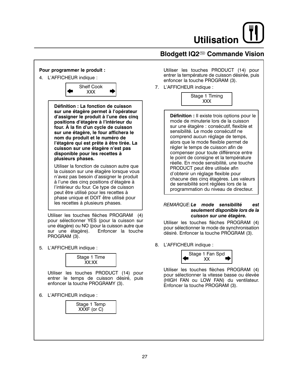## **Blodgett IQ2<sup>®</sup> Commande Vision**

![](_page_64_Picture_2.jpeg)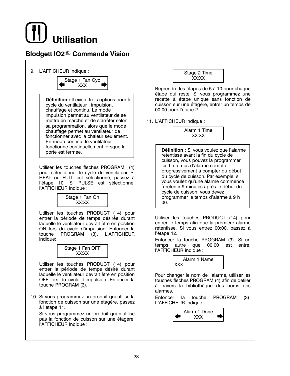## **Blodgett IQ2<sup>®</sup> Commande Vision**

9. L'AFFICHEUR indique :

![](_page_65_Picture_3.jpeg)

Définition : Il existe trois options pour le cycle du ventilateur : impulsion, chauffage et continu. Le mode impulsion permet au ventilateur de se mettre en marche et de s'arrêter selon sa programmation, alors que le mode chauffage permet au ventilateur de fonctionner avec la chaleur seulement. En mode continu, le ventilateur fonctionne continuellement lorsque la porte est fermée.

Utiliser les touches flèches PROGRAM (4) pour sélectionner le cycle du ventilateur. Si HEAT ou FULL est sélectionné, passez à l'étape 10. Si PULSE est sélectionné, l'AFFICHEUR indique :

![](_page_65_Picture_6.jpeg)

Utiliser les touches PRODUCT (14) pour entrer la période de temps désirée durant laquelle le ventilateur devrait être en position ON lors du cycle d'impulsion. Enfoncer la touche PROGRAM  $(3).$ L'AFFICHEUR indique:

|       | Stage 1 Fan OFF |  |  |  |  |
|-------|-----------------|--|--|--|--|
| XX:XX |                 |  |  |  |  |

Utiliser les touches PRODUCT (14) pour entrer la période de temps désiré durant laquelle le ventilateur devrait être en position OFF lors du cycle d'impulsion. Enfoncer la touche PROGRAM (3).

10. Si vous programmez un produit qui utilise la fonction de cuisson sur une étagère, passez à l'étape 11.

Si vous programmez un produit qui n'utilise pas la fonction de cuisson sur une étagère, l'AFFICHEUR indique :

![](_page_65_Picture_12.jpeg)

Reprendre les étapes de 5 à 10 pour chaque étape qui reste. Si vous programmez une recette à étape unique sans fonction de cuisson sur une étagère, entrer un temps de 00:00 pour l'étape 2.

11. L'AFFICHEUR indique :

Alarm 1 Time XX:XX

Définition : Si vous voulez que l'alarme retentisse avant la fin du cycle de cuisson, vous pouvez la programmer ici. Le temps d'alarme compte progressivement à compter du début du cycle de cuisson. Par exemple, si vous voulez qu'une alarme commence à retentir 9 minutes après le début du cycle de cuisson, vous devez programmer le temps d'alarme à 9 h  $00.$ 

Utiliser les touches PRODUCT (14) pour entrer le temps afin que la première alarme retentisse. Si vous entrez 00:00, passez à l'étape 12.

Enfoncer la touche PROGRAM (3). Si un temps autre que 00:00 est entré, l'AFFICHEUR indique :

> Alarm 1 Name **XXX**

Pour changer le nom de l'alarme, utiliser les touches flèches PROGRAM (4) afin de défiler à travers la bibliothèque des noms des alarmes.

Enfoncer la touche PROGRAM  $(3).$ L'AFFICHEUR indique :

![](_page_65_Picture_22.jpeg)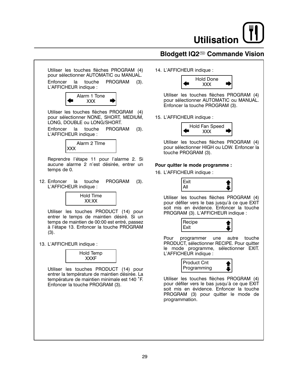## Blodgett IQ2<sup>®</sup> Commande Vision

![](_page_66_Figure_2.jpeg)

14. L'AFFICHEUR indique :

![](_page_66_Picture_4.jpeg)

Utiliser les touches flèches PROGRAM (4) pour sélectionner AUTOMATIC ou MANUAL. Enfoncer la touche PROGRAM (3).

15. L'AFFICHEUR indique :

![](_page_66_Picture_7.jpeg)

Utiliser les touches flèches PROGRAM (4) pour sélectionner HIGH ou LOW. Enfoncer la touche PROGRAM (3).

## Pour quitter le mode programme :

16. L'AFFICHEUR indique :

![](_page_66_Figure_11.jpeg)

Utiliser les touches flèches PROGRAM (4) pour défiler vers le bas jusqu'à ce que EXIT soit mis en évidence. Enfoncer la touche PROGRAM (3). L'AFFICHEUR indique :

![](_page_66_Picture_13.jpeg)

Pour programmer une autre touche PRODUCT, sélectionner RECIPE. Pour quitter le mode programme, sélectionner EXIT. L'AFFICHEUR indique :

![](_page_66_Figure_15.jpeg)

Utiliser les touches flèches PROGRAM (4) pour défiler vers le bas jusqu'à ce que EXIT soit mis en évidence. Enfoncer la touche PROGRAM (3) pour quitter le mode de programmation.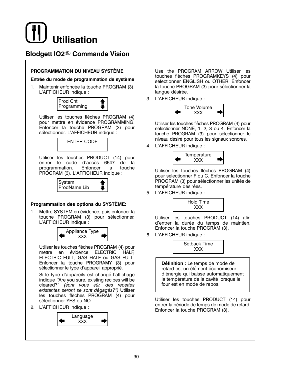## **Blodgett IQ2<sup>®</sup> Commande Vision**

## PROGRAMMATION DU NIVEAU SYSTÈME

#### Entrée du mode de programmation de système

1. Maintenir enfoncée la touche PROGRAM (3). L'AFFICHEUR indique :

![](_page_67_Picture_5.jpeg)

Utiliser les touches flèches PROGRAM (4) pour mettre en évidence PROGRAMMING. Enfoncer la touche PROGRAM (3) pour sélectionner. L'AFFICHEUR indique :

![](_page_67_Picture_7.jpeg)

Utiliser les touches PRODUCT (14) pour entrer le code d'accès 6647 de la programmation. Enfoncer  $|a|$ touche PROGRAM (3). L'AFFICHEUR indique :

![](_page_67_Picture_9.jpeg)

## Programmation des options du SYSTÈME:

1. Mettre SYSTEM en évidence, puis enfoncer la touche PROGRAM (3) pour sélectionner. L'AFFICHEUR indique :

![](_page_67_Picture_12.jpeg)

Utiliser les touches flèches PROGRAM (4) pour mettre en évidence ELECTRIC HALF. ELECTRIC FULL, GAS HALF ou GAS FULL. Enfoncer la touche PROGRAMY (3) pour sélectionner le type d'appareil approprié.

Si le type d'appareils est changé l'affichage indique "Are you sure, existing recipes will be cleared?" (sont vous sûr, des recettes existantes seront se sont dégagés?") Utiliser les touches flèches PROGRAM (4) pour sélectionner YES ou NO.

2. L'AFFICHEUR indique :

![](_page_67_Picture_16.jpeg)

Use the PROGRAM ARROW Utiliser les touches flèches PROGRAMKEYS (4) pour sélectionner ENGLISH ou OTHER. Enfoncer la touche PROGRAM (3) pour sélectionner la langue désirée.

3. L'AFFICHEUR indique :

![](_page_67_Picture_19.jpeg)

Utiliser les touches flèches PROGRAM (4) pour sélectionner NONE, 1, 2, 3 ou 4. Enfoncer la touche PROGRAM (3) pour sélectionner le niveau désiré pour tous les signaux sonores.

4. L'AFFICHEUR indique :

![](_page_67_Picture_22.jpeg)

Utiliser les touches flèches PROGRAM (4) pour sélectionner F ou C. Enfoncer la touche PROGRAM (3) pour sélectionner les unités de température désirées.

5. L'AFFICHEUR indique :

![](_page_67_Picture_25.jpeg)

Utiliser les touches PRODUCT (14) afin d'entrer la durée du temps de maintien. Enfoncer la touche PROGRAM (3).

6. L'AFFICHEUR indique :

![](_page_67_Picture_28.jpeg)

Définition : Le temps de mode de retard est un élément économiseur d'énergie qui baisse automatiquement la température de la cavité lorsque le four est en mode de repos.

Utiliser les touches PRODUCT (14) pour entrer la période de temps de mode de retard. Enfoncer la touche PROGRAM (3).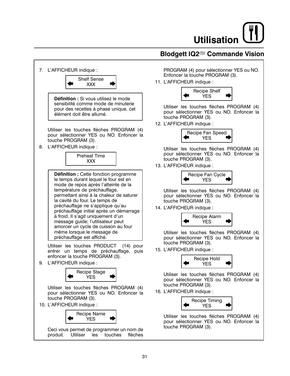![](_page_68_Picture_0.jpeg)

## Blodgett IQ2<sup>®</sup> Commande Vision

![](_page_68_Figure_2.jpeg)

PROGRAM (4) pour sélectionner YES ou NO. Enfoncer la touche PROGRAM (3).

11. L'AFFICHEUR indique :

![](_page_68_Picture_5.jpeg)

Utiliser les touches flèches PROGRAM (4) pour sélectionner YES ou NO. Enfoncer la touche PROGRAM (3).

12. L'AFFICHEUR indique :

![](_page_68_Picture_8.jpeg)

Utiliser les touches flèches PROGRAM (4) pour sélectionner YES ou NO. Enfoncer la touche PROGRAM (3).

13. L'AFFICHEUR indique :

![](_page_68_Picture_11.jpeg)

Utiliser les touches flèches PROGRAM (4) pour sélectionner YES ou NO. Enfoncer la touche PROGRAM (3).

14. L'AFFICHEUR indique :

![](_page_68_Picture_14.jpeg)

Utiliser les touches flèches PROGRAM (4) pour sélectionner YES ou NO. Enfoncer la touche PROGRAM (3).

15. L'AFFICHEUR indique :

![](_page_68_Picture_17.jpeg)

Utiliser les touches flèches PROGRAM (4) pour sélectionner YES ou NO. Enfoncer la touche PROGRAM (3).

16. L'AFFICHEUR indique :

![](_page_68_Picture_20.jpeg)

Utiliser les touches flèches PROGRAM (4) pour sélectionner YES ou NO. Enfoncer la touche PROGRAM (3).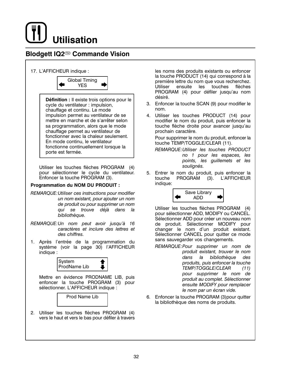## **Blodgett IQ2<sup>®</sup> Commande Vision**

![](_page_69_Figure_2.jpeg)

flèches

des

 $(11)$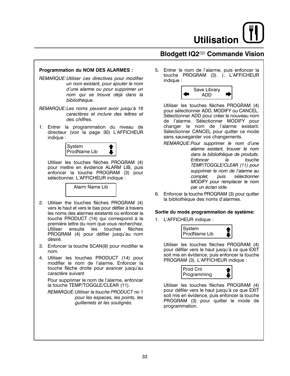## **Blodgett IQ2<sup>®</sup> Commande Vision**

### **Programmation du NOM DES ALARMES :**

- REMARQUE: Utiliser ces directives pour modifier un nom existant, pour ajouter le nom d'une alarme ou pour supprimer un nom qui se trouve déjà dans la bibliothèque.
- REMARQUE: Les noms peuvent avoir jusqu'à 16 caractères et inclure des lettres et des chiffres.
- 1. Entrer la programmation du niveau de directeur (voir la page 30) L'AFFICHEUR indique :

![](_page_70_Picture_6.jpeg)

Utiliser les touches flèches PROGRAM (4) pour mettre en évidence ALARM LIB, puis enfoncer la touche PROGRAM (3) pour sélectionner. L'AFFICHEUR indique :

Alarm Name Lib

- 2. Utiliser the touches flèches PROGRAM (4) vers le haut et vers le bas pour défiler à travers les noms des alarmes existants ou enfoncer la touche PRODUCT (14) qui correspond à la première lettre du nom que vous recherchez. Utiliser ensuite les touches flèches PROGRAM (4) pour défiler jusqu'au nom désiré.
- 3. Enfoncer la touche SCAN(9) pour modifier le nom.
- 4. Utiliser les touches PRODUCT (14) pour modifier le nom de l'alarme. Enfoncer la touche flèche droite pour avancer jusqu'au caractère suivant

Pour supprimer le nom de l'alarme, enfoncer la touche TEMP/TOGGLE/CLEAR (11).

REMARQUE: Utiliser la touche PRODUCT no 1 pour les espaces, les points, les quillemets et les soulignés.

5. Entrer le nom de l'alarme, puis enfoncer la touche PROGRAM (3). ). L'AFFICHEUR indique :

![](_page_70_Picture_15.jpeg)

Utiliser les touches flèches PROGRAM (4) pour sélectionner ADD, MODIFY ou CANCEL. Sélectionner ADD pour créer le nouveau nom de l'alarme. Sélectionner MODIFY pour changer le nom de l'alarme existant. Sélectionner CANCEL pour quitter ce mode sans sauvegarder vos changements.

- REMARQUE: Pour supprimer le nom d'une alarme existant, trouver le nom dans la bibliothèque de produits. Enfoncer  $l$ a touche TEMP/TOGGLE/CLEAR (11) pour supprimer le nom de l'alarme au complet. puis sélectionner MODIFY pour remplacer le nom par un écran vide.
- 6. Enfoncer la touche PROGRAM (3) pour quitter la bibliothèque des noms d'alarmes.

#### Sortie du mode programmation de système:

1. L'AFFICHEUR indique :

![](_page_70_Picture_21.jpeg)

Utiliser les touches flèches PROGRAM (4) pour défiler vers le haut jusqu'à ce que EXIT soit mis en évidence, puis enfoncer la touche PROGRAM (3). L'AFFICHEUR indique :

![](_page_70_Picture_23.jpeg)

Utiliser les touches flèches PROGRAM (4) pour défiler vers le haut jusqu'à ce que EXIT soit mis en évidence, puis enfoncer la touche PROGRAM (3) pour quitter le mode de programmation.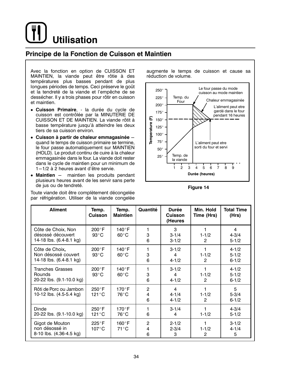## Principe de la Fonction de Cuisson et Maintien

Avec la fonction en option de CUISSON ET MAINTIEN, la viande peut être rôtie à des températures plus basses pendant de plus longues périodes de temps. Ceci préserve le goût et la tendreté de la viande et l'empêche de se dessécher. Il y a trois phases pour rôtir en cuisson et maintien.

- · Cuisson Primaire, la durée du cycle de cuisson est contrôlée par la MINUTERIE DE CUISSON ET DE MAINTIEN. La viande rôtit à basse température jusqu'à atteindre les deux tiers de sa cuisson environ.
- Cuisson à partir de chaleur emmagasinée quand le temps de cuisson primaire se termine, le four passe automatiquement sur MAINTIEN (HOLD). Le produit continu de cuire à la chaleur emmagasinée dans le four. La viande doit rester dans le cycle de maintien pour un minimum de  $1 - 1/2$  à 2 heures avant d'être servie.
- Maintien maintien les produits pendant plusieurs heures avant de les servir sans perte de jus ou de tendreté.

Toute viande doit être complètement décongelée par réfrigération. Utiliser de la viande congelée augmente le temps de cuisson et cause sa réduction de volume.

![](_page_71_Figure_8.jpeg)

Figure 14

| <b>Aliment</b>                                                     | Temp.<br><b>Cuisson</b>            | Temp.<br><b>Maintien</b> | Quantité                 | <b>Durée</b><br><b>Cuisson</b><br>(Heures | Min. Hold<br>Time (Hrs) | <b>Total Time</b><br>(Hrs)          |
|--------------------------------------------------------------------|------------------------------------|--------------------------|--------------------------|-------------------------------------------|-------------------------|-------------------------------------|
| Côte de Choix, Non<br>désossé découvert<br>14-18 lbs. (6.4-8.1 kg) | 200°F<br>$93^{\circ}$ C            | 140°F<br>$60^{\circ}$ C  | 3<br>6                   | 3<br>$3 - 1/4$<br>$3 - 1/2$               | $1 - 1/2$<br>2          | 4<br>$4 - 3/4$<br>$5 - 1/2$         |
| Côte de Choix,<br>Non désossé couvert<br>14-18 lbs. (6.4-8.1 kg)   | 200°F<br>$93^{\circ}$ C            | 140°F<br>$60^{\circ}$ C  | 3<br>6                   | $3 - 1/2$<br>4<br>$4 - 1/2$               | $1 - 1/2$<br>2          | $4 - 1/2$<br>$5 - 1/2$<br>$6 - 1/2$ |
| Tranches Grasses<br>Rounds<br>20-22 lbs. (9.1-10.0 kg)             | 200°F<br>$93^{\circ}$ C            | 140°F<br>$60^{\circ}$ C  | 3<br>6                   | $3 - 1/2$<br>4<br>$4 - 1/2$               | $1 - 1/2$<br>2          | $4 - 1/2$<br>$5 - 1/2$<br>$6 - 1/2$ |
| Rôti de Porc ou Jambon<br>10-12 lbs. (4.5-5.4 kg)                  | $250^{\circ}$ F<br>$121^{\circ}$ C | $170^\circ F$<br>76°C    | $\overline{2}$<br>4<br>6 | 4<br>$4 - 1/4$<br>$4 - 1/2$               | $1 - 1/2$<br>2          | 5<br>$5 - 3/4$<br>$6 - 1/2$         |
| Dinde<br>20-22 lbs. (9.1-10.0 kg)                                  | $250^{\circ}$ F<br>121°C           | $170^\circ$ F<br>76°C    | 6                        | $3 - 1/4$<br>4                            | $1 - 1/2$               | $4 - 3/4$<br>$5 - 1/2$              |
| Gigot de Mouton<br>non désossé in<br>8-10 lbs. (4.36-4.5 kg)       | $225^{\circ}$ F<br>107°C           | $160^{\circ}$ F<br>71°C  | $\overline{2}$<br>4<br>6 | $2 - 1/2$<br>$2 - 3/4$<br>3               | $1 - 1/2$<br>2          | $3 - 1/2$<br>$4 - 1/4$<br>5         |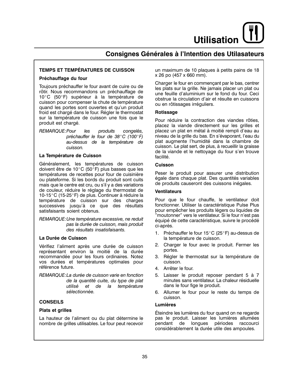**Utilisation** 

# **Consignes Générales à l'Intention des Utilasateurs**

# **TEMPS ET TEMPÉRATURES DE CUISSON**

## Préchauffage du four

Toujours préchauffer le four avant de cuire ou de rôtir. Nous recommandons un préchauffage de 10°C (50°F) supérieur à la température de cuisson pour compenser la chute de température quand les portes sont ouvertes et qu'un produit froid est chargé dans le four. Régler le thermostat sur la température de cuisson une fois que le produit est chargé.

REMARQUE: Pour les produits congelés, préchauffer le four de 38°C (100°F) au-dessus de la température de cuisson.

# La Température de Cuisson

Généralement, les températures de cuisson doivent être de 10 $^{\circ}$ C (50 $^{\circ}$ F) plus basses que les températures de recettes pour four de cuisinière ou plateforme. Si les bords du produit sont cuits mais que le centre est cru, ou s'il y a des variations de couleur, réduire le réglage du thermostat de 10-15°C (15-25°F) de plus. Continuer à réduire la température de cuisson sur des charges successives jusqu'à ce que des résultats satisfaisants soient obtenus.

REMARQUE: Une température excessive, ne reduit pas la durée de cuisson, mais produit des résultats insatisfaisants.

#### La Durée de Cuisson

Vérifiez l'aliment après une durée de cuisson représentant environ la moitié de la durée recommandée pour les fours ordinaires. Notez vos durées et températures optimales pour référence future.

REMARQUE: La durée de cuisson varie en fonction de la quantité cuite, du type de plat utilisé et de la température sélectionnée.

# **CONSEILS**

#### **Plats et grilles**

La hauteur de l'aliment ou du plat détermine le nombre de grilles utilisables. Le four peut recevoir un maximum de 10 plaques à petits pains de 18 x 26 po (457 x 660 mm).

Charger le four en commençant par le bas, centrer les plats sur la grille. Ne jamais placer un plat ou une feuille d'aluminium sur le fond du four. Ceci obstrue la circulation d'air et résulte en cuissons ou en rôtissages irréguliers.

## Rotissage

Pour réduire la contraction des viandes rôties, placez la viande directement sur les grilles et placez un plat en métal à moitié rempli d'eau au niveau de la grille du bas. En s'évaporant, l'eau du plat augmente l'humidité dans la chambre de cuisson. Le plat sert, de plus, à recueillir la graisse de la viande et le nettoyage du four s'en trouve facilité.

## **Cuisson**

Peser le produit pour assurer une distribution égale dans chaque plat. Des quantités variables de produits causeront des cuissons inégales.

#### **Ventilateurs**

Pour que le four chauffe, le ventilateur doit fonctionner. Utiliser la caractéristique Pulse Plus pour empêcher les produits légers ou liquides de "moutonner" vers le ventilateur. Si le four n'est pas équipé de cette caractéristique, suivre le procédé ci-après.

- 1. Préchauffer le four 15°C (25°F) au-dessus de la température de cuisson.
- 2. Charger le four avec le produit. Fermer les portes.
- 3. Régler le thermostat sur la température de cuisson.
- 4. Arrêter le four.
- 5. Laisser le produit reposer pendant 5 à 7 minutes sans ventilateur. La chaleur résiduelle dans le four fige le produit.
- 6. Allumer le four pour le reste du temps de cuisson.

#### **Lumières**

Éteindre les lumières du four quand on ne regarde pas le produit. Laisser les lumières allumées périodes raccourci pendant de longues considérablement la durée utile des ampoules.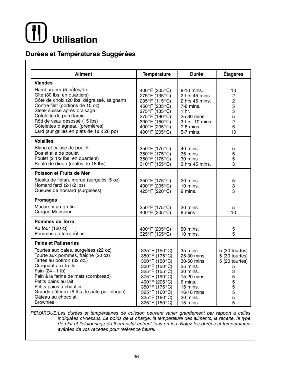# **Utilisation**

# Durées et Températures Suggérées

| <b>Aliment</b>                                                                                                                                                                                                                                                                                                                       | <b>Température</b>                                                                                                                                                                                                                | <b>Durée</b>                                                                                                                                    | <b>Étagères</b>                                                                            |
|--------------------------------------------------------------------------------------------------------------------------------------------------------------------------------------------------------------------------------------------------------------------------------------------------------------------------------------|-----------------------------------------------------------------------------------------------------------------------------------------------------------------------------------------------------------------------------------|-------------------------------------------------------------------------------------------------------------------------------------------------|--------------------------------------------------------------------------------------------|
| <b>Viandes</b>                                                                                                                                                                                                                                                                                                                       |                                                                                                                                                                                                                                   |                                                                                                                                                 |                                                                                            |
| Hamburgers (5 pâtés/lb)<br>Gîte (80 lbs, en quartiers)<br>Côte de choix (20 lbs, dégraissé, saignant)<br>Contre-filet (portions de 10 oz)<br>Steak suisse après braisage<br>Côtelette de porc farcie<br>Rôti de veau désossé (15 lbs)<br>Côtelettes d'agneau (premières)<br>Lard (sur grilles en plats de 18 x 26 po)                | 400°F (205°C)<br>275°F (135°C)<br>235°F (115°C)<br>450°F (235°C)<br>275°F (135°C)<br>375°F (190°C)<br>300°F (150°C)<br>400°F (205°C)<br>400°F (205°C)                                                                             | 8-10 mins.<br>2 hrs 45 mins.<br>$2$ hrs 45 mins.<br>7-8 mins.<br>1 hr.<br>25-30 mins.<br>3 hrs. 10 mins.<br>$7-8$ mins.<br>5-7 mins.            | 10<br>$\overline{2}$<br>$\overline{c}$<br>5<br>5<br>5<br>$\overline{2}$<br>5<br>10         |
| <b>Volailles</b><br>Blanc et cuisse de poulet<br>Dos et aile de poulet<br>Poulet (2 1/2 lbs, en quartiers)<br>Roulé de dinde (roulés de 18 lbs)                                                                                                                                                                                      | 350°F (175°C)<br>350°F (175°C)<br>350°F (175°C)<br>310°F (155°C)                                                                                                                                                                  | 40 mins.<br>35 mins.<br>30 mins.<br>3 hrs 45 mins.                                                                                              | 5<br>5<br>5<br>3                                                                           |
| Poisson et Fruits de Mer<br>Steaks de flétan, morue (surgelés, 5 oz)<br>Homard farci (2-1/2 lbs)<br>Queues de homard (surgelées)                                                                                                                                                                                                     | 350°F (175°C)<br>400°F (205°C)<br>425°F (220°C)                                                                                                                                                                                   | 20 mins.<br>$10$ mins.<br>9 mins.                                                                                                               | 5<br>3<br>5                                                                                |
| <b>Fromages</b><br>Macaroni au gratin<br>Croque-Monsieur                                                                                                                                                                                                                                                                             | 350°F (175°C)<br>400°F (205°C)                                                                                                                                                                                                    | 30 mins.<br>8 mins.                                                                                                                             | 5<br>10                                                                                    |
| <b>Pommes de Terre</b><br>Au four (120 ct)<br>Pommes de terre rôties                                                                                                                                                                                                                                                                 | 400°F (205°C)<br>325°F (165°C)                                                                                                                                                                                                    | 50 mins.<br>$10$ mins.                                                                                                                          | 5<br>5                                                                                     |
| <b>Pains et Patisseries</b>                                                                                                                                                                                                                                                                                                          |                                                                                                                                                                                                                                   |                                                                                                                                                 |                                                                                            |
| Tourtes aux baies, surgelées (22 oz)<br>Tourte aux pommes, fraîche (20 oz)<br>Tartes au potiron (32 oz.)<br>Croquant aux fruits<br>Pain (24 - 1 lb)<br>Pain à la farine de maïs (cornbread)<br>Petits pains au lait<br>Petits pains à chauffer<br>Grands gâteaux (5 lbs de pâte par plaque)<br>Gâteau au chocolat<br><b>Brownies</b> | 325°F (150°C)<br>$350^{\circ}$ F (175 $^{\circ}$ C)<br>300°F (150°C)<br>300°F (150°C)<br>325°F (155°C)<br>375°F (190°C)<br>400°F (205°C)<br>350°F (175°C)<br>325°F (160°C)<br>325°F (160°C)<br>$325^{\circ}$ F (150 $^{\circ}$ C) | 35 mins.<br>25-30 mins.<br>30-50 mins.<br>25 mins.<br>30 mins.<br>15-20 mins.<br>6 mins.<br>$15$ mins.<br>16-18 mins.<br>20 mins.<br>$15$ mins. | 5 (30 tourtes)<br>5 (30 tourtes)<br>5 (20 tourtes)<br>5<br>3<br>5<br>5<br>5<br>5<br>5<br>5 |

REMARQUE: Les durées et températures de cuisson peuvent varier grandement par rapport à celles indiquées ci-dessus. Le poids de la charge, la température des aliments, la recette, le type de plat et l'étalonnage du thermostat entrent tous en jeu. Notez les durées et tempèratures avérées de vos recettes pour référence future.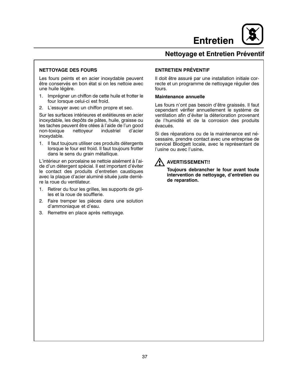

# Nettoyage et Entretien Préventif

# **NETTOYAGE DES FOURS**

Les fours peints et en acier inoxydable peuvent être conservés en bon état si on les nettoie avec une huile légère.

- 1. Imprégner un chiffon de cette huile et frotter le four lorsque celui-ci est froid.
- 2. L'essuyer avec un chiffon propre et sec.

Sur les surfaces intérieures et extétieures en acier inoxydable, les depôts de pâtes, huile, graisse ou les taches peuvent être otées à l'aide de l'un good non-toxique nettoyeur industriel d'acier inoxydable.

1. Il faut toujours utiliser ces produits détergents lorsque le four est froid. Il faut toujours frotter dans le sens du grain métallique.

L'intérieur en porcelaine se nettoie aisément à l'aide d'un détergent spécial. Il est important d'éviter le contact des produits d'entretien caustiques avec la plaque d'acier aluminé située juste derrière la roue du ventilateur.

- Retirer du four les grilles, les supports de aril- $1<sup>1</sup>$ les et la roue de soufflerie.
- $2.$ Faire tremper les pièces dans une solution d'ammoniaque et d'eau.
- 3. Remettre en place après nettoyage.

# **ENTRETIEN PRÉVENTIF**

Il doit être assuré par une installation initiale correcte et un programme de nettoyage régulier des fours.

#### **Maintenance annuelle**

Les fours n'ont pas besoin d'être graissés. Il faut cependant vérifier annuellement le système de ventilation afin d'éviter la déterioration provenant de l'humidité et de la corrosion des produits évacués.

Si des réparations ou de la maintenance est nécessaire, prendre contact avec une entreprise de servicel Blodgett locale, avec le représentant de l'usine ou avec l'usine.

# **AVERTISSEMENT!!**

Toujours debrancher le four avant toute intervention de nettoyage, d'entretien ou de reparation.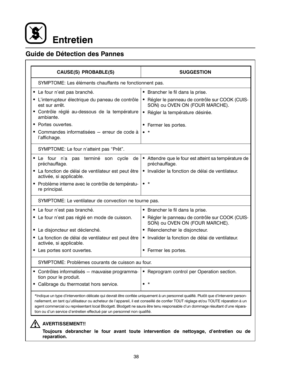

# Guide de Détection des Pannes

| CAUSE(S) PROBABLE(S)                                                           | <b>SUGGESTION</b>                                                                                                                                                                                                                                                                                                                                                                                           |  |  |  |
|--------------------------------------------------------------------------------|-------------------------------------------------------------------------------------------------------------------------------------------------------------------------------------------------------------------------------------------------------------------------------------------------------------------------------------------------------------------------------------------------------------|--|--|--|
| SYMPTOME: Les éléments chauffants ne fonctionnent pas.                         |                                                                                                                                                                                                                                                                                                                                                                                                             |  |  |  |
| • Le four n'est pas branché.                                                   | • Brancher le fil dans la prise.                                                                                                                                                                                                                                                                                                                                                                            |  |  |  |
| • L'interrupteur électrique du paneau de contrôle<br>est sur arrêt.            | · Régler le panneau de contrôle sur COOK (CUIS-<br>SON) ou OVEN ON (FOUR MARCHE).                                                                                                                                                                                                                                                                                                                           |  |  |  |
| • Contrôle réglé au-dessous de la température<br>ambiante.                     | • Régler la température désirée.                                                                                                                                                                                                                                                                                                                                                                            |  |  |  |
| • Portes ouvertes.                                                             | • Fermer les portes.                                                                                                                                                                                                                                                                                                                                                                                        |  |  |  |
| Commandes informatisées - erreur de code à<br>l'affichage.                     | $\bullet$ *                                                                                                                                                                                                                                                                                                                                                                                                 |  |  |  |
| SYMPTOME: Le four n'atteint pas "Prêt".                                        |                                                                                                                                                                                                                                                                                                                                                                                                             |  |  |  |
| • Le four n'a pas terminé son cycle<br>de<br>préchauffage.                     | • Attendre que le four est atteint sa température de<br>préchauffage.                                                                                                                                                                                                                                                                                                                                       |  |  |  |
| • La fonction de délai de ventilateur est peut être<br>activée, si applicable. | • Invalider la fonction de délai de ventilateur.                                                                                                                                                                                                                                                                                                                                                            |  |  |  |
| • Problème interne avec le contrôle de températu-<br>re principal.             | $\bullet$ *                                                                                                                                                                                                                                                                                                                                                                                                 |  |  |  |
| SYMPTOME: Le ventilateur de convection ne tourne pas.                          |                                                                                                                                                                                                                                                                                                                                                                                                             |  |  |  |
| • Le four n'est pas branché.                                                   | • Brancher le fil dans la prise.                                                                                                                                                                                                                                                                                                                                                                            |  |  |  |
| Le four n'est pas réglé en mode de cuisson.                                    | · Régler le panneau de contrôle sur COOK (CUIS-<br>SON) ou OVEN ON (FOUR MARCHE).                                                                                                                                                                                                                                                                                                                           |  |  |  |
| • Le disjoncteur est déclenché.                                                | • Réenclencher le disjoncteur.                                                                                                                                                                                                                                                                                                                                                                              |  |  |  |
| • La fonction de délai de ventilateur est peut être<br>activée, si applicable. | · Invalider la fonction de délai de ventilateur.                                                                                                                                                                                                                                                                                                                                                            |  |  |  |
| • Les portes sont ouvertes.                                                    | • Fermer les portes.                                                                                                                                                                                                                                                                                                                                                                                        |  |  |  |
| SYMPTOME: Problèmes courants de cuisson au four.                               |                                                                                                                                                                                                                                                                                                                                                                                                             |  |  |  |
| • Contrôles informatisés - mauvaise programma-<br>tion pour le produit.        | • Reprogram control per Operation section.                                                                                                                                                                                                                                                                                                                                                                  |  |  |  |
| Calibrage du thermostat hors service.                                          |                                                                                                                                                                                                                                                                                                                                                                                                             |  |  |  |
| tion ou d'un service d'entretien effectué par un personnel non qualifié.       | *Indique un type d'intervention délicate qui devrait être confiée uniquement à un personnel qualifié. Plutôt que d'intervenir person-<br>nellement, en tant qu'utilisateur ou acheteur de l'appareil, il est conseillé de confier TOUT réglage et/ou TOUTE réparation à un<br>agent commercial ou représentant local Blodgett. Blodgett ne saura être tenu responsable d'un dommage résultant d'une répara- |  |  |  |
| <b>AVERTISSEMENT!!</b>                                                         |                                                                                                                                                                                                                                                                                                                                                                                                             |  |  |  |

Toujours debrancher le four avant toute intervention de nettoyage, d'entretien ou de reparation.